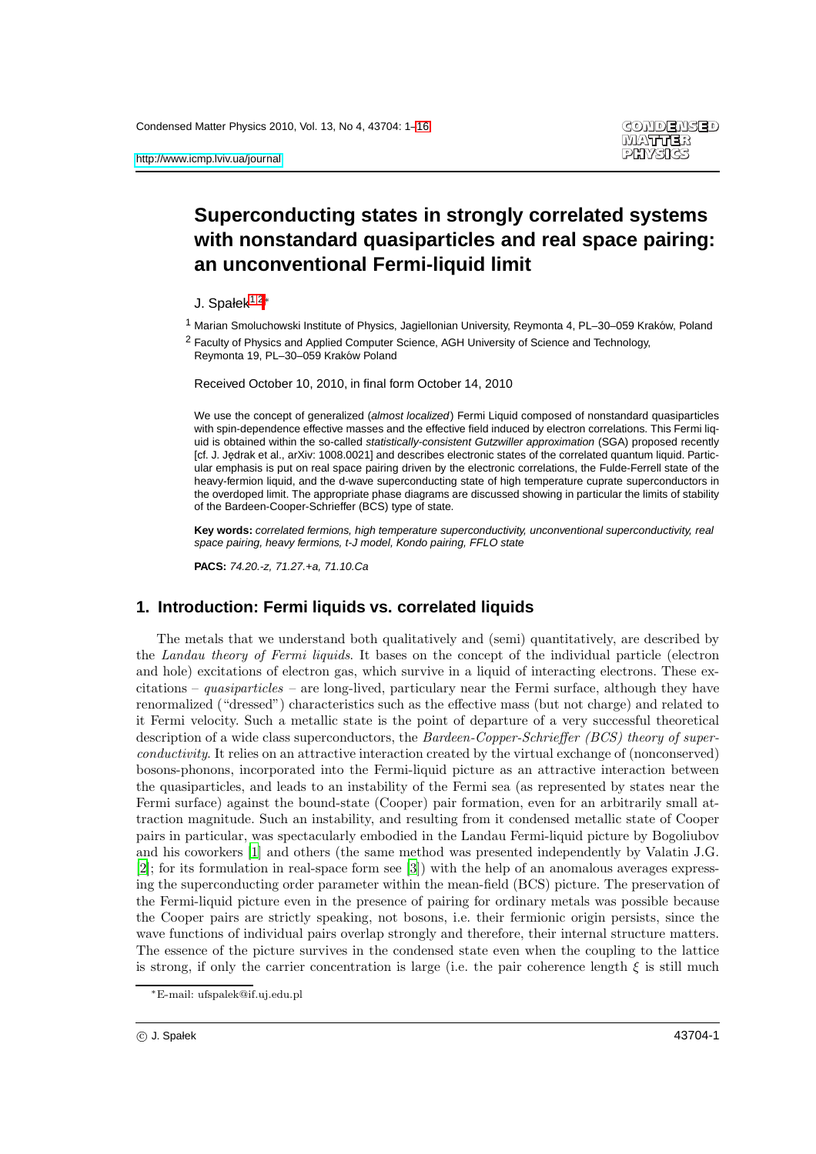# **Superconducting states in strongly correlated systems with nonstandard quasiparticles and real space pairing: an unconventional Fermi-liquid limit**

<span id="page-0-0"></span>J. Spałek<sup>[1](#page-0-0)[,2](#page-0-1)</sup>\*

<span id="page-0-1"></span><sup>1</sup> Marian Smoluchowski Institute of Physics, Jagiellonian University, Reymonta 4, PL-30-059 Kraków, Poland

2 Faculty of Physics and Applied Computer Science, AGH University of Science and Technology, Reymonta 19, PL–30–059 Krakow Poland ´

Received October 10, 2010, in final form October 14, 2010

We use the concept of generalized (almost localized) Fermi Liquid composed of nonstandard quasiparticles with spin-dependence effective masses and the effective field induced by electron correlations. This Fermi liquid is obtained within the so-called statistically-consistent Gutzwiller approximation (SGA) proposed recently [cf. J. Jedrak et al., arXiv: 1008.0021] and describes electronic states of the correlated quantum liquid. Particular emphasis is put on real space pairing driven by the electronic correlations, the Fulde-Ferrell state of the heavy-fermion liquid, and the d-wave superconducting state of high temperature cuprate superconductors in the overdoped limit. The appropriate phase diagrams are discussed showing in particular the limits of stability of the Bardeen-Cooper-Schrieffer (BCS) type of state.

**Key words:** correlated fermions, high temperature superconductivity, unconventional superconductivity, real space pairing, heavy fermions, t-J model, Kondo pairing, FFLO state

**PACS:** 74.20.-z, 71.27.+a, 71.10.Ca

# **1. Introduction: Fermi liquids vs. correlated liquids**

The metals that we understand both qualitatively and (semi) quantitatively, are described by the Landau theory of Fermi liquids. It bases on the concept of the individual particle (electron and hole) excitations of electron gas, which survive in a liquid of interacting electrons. These excitations – quasiparticles – are long-lived, particulary near the Fermi surface, although they have renormalized ("dressed") characteristics such as the effective mass (but not charge) and related to it Fermi velocity. Such a metallic state is the point of departure of a very successful theoretical description of a wide class superconductors, the Bardeen-Copper-Schrieffer (BCS) theory of superconductivity. It relies on an attractive interaction created by the virtual exchange of (nonconserved) bosons-phonons, incorporated into the Fermi-liquid picture as an attractive interaction between the quasiparticles, and leads to an instability of the Fermi sea (as represented by states near the Fermi surface) against the bound-state (Cooper) pair formation, even for an arbitrarily small attraction magnitude. Such an instability, and resulting from it condensed metallic state of Cooper pairs in particular, was spectacularly embodied in the Landau Fermi-liquid picture by Bogoliubov and his coworkers [\[1](#page-14-0)] and others (the same method was presented independently by Valatin J.G. [\[2\]](#page-14-1); for its formulation in real-space form see [\[3\]](#page-14-2)) with the help of an anomalous averages expressing the superconducting order parameter within the mean-field (BCS) picture. The preservation of the Fermi-liquid picture even in the presence of pairing for ordinary metals was possible because the Cooper pairs are strictly speaking, not bosons, i.e. their fermionic origin persists, since the wave functions of individual pairs overlap strongly and therefore, their internal structure matters. The essence of the picture survives in the condensed state even when the coupling to the lattice is strong, if only the carrier concentration is large (i.e. the pair coherence length  $\xi$  is still much

<sup>∗</sup>E-mail: ufspalek@if.uj.edu.pl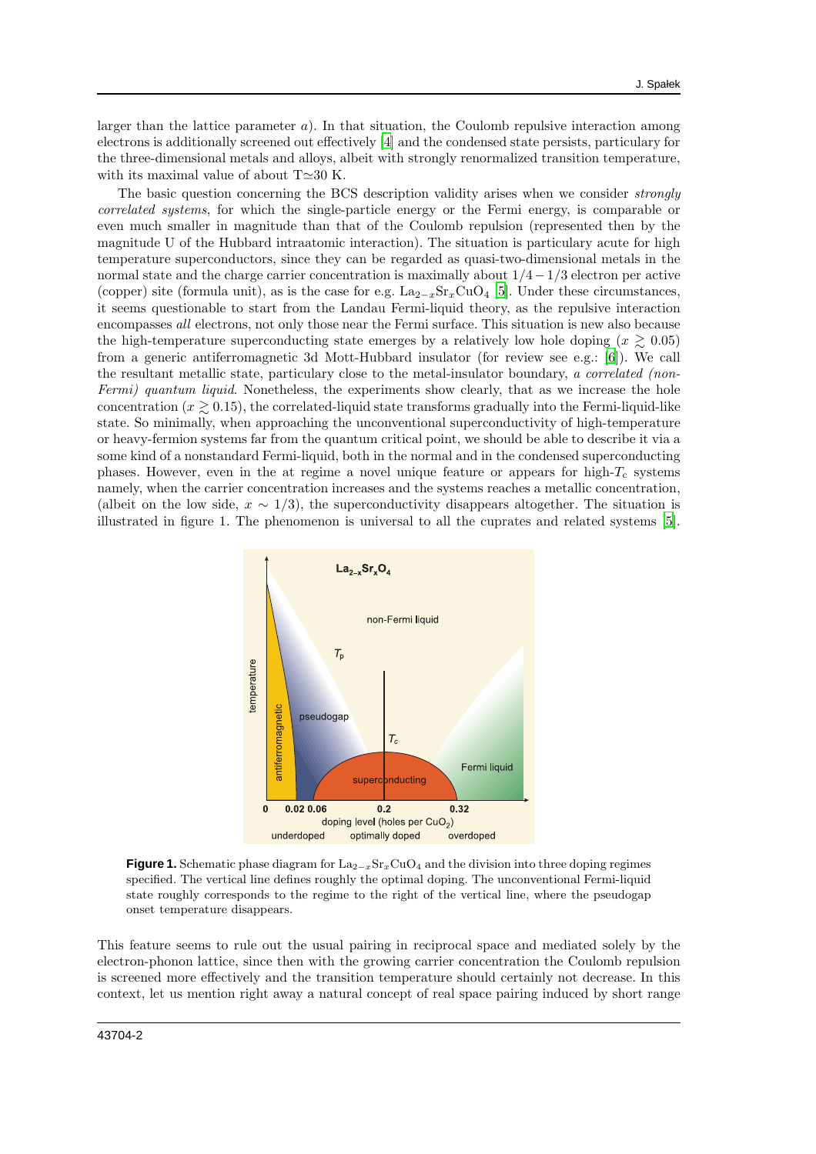larger than the lattice parameter  $a$ ). In that situation, the Coulomb repulsive interaction among electrons is additionally screened out effectively [\[4\]](#page-14-3) and the condensed state persists, particulary for the three-dimensional metals and alloys, albeit with strongly renormalized transition temperature, with its maximal value of about T≃30 K.

The basic question concerning the BCS description validity arises when we consider strongly correlated systems, for which the single-particle energy or the Fermi energy, is comparable or even much smaller in magnitude than that of the Coulomb repulsion (represented then by the magnitude U of the Hubbard intraatomic interaction). The situation is particulary acute for high temperature superconductors, since they can be regarded as quasi-two-dimensional metals in the normal state and the charge carrier concentration is maximally about  $1/4-1/3$  electron per active (copper) site (formula unit), as is the case for e.g.  $\text{La}_{2-x}\text{Sr}_{x}\text{CuO}_4$  [\[5](#page-14-4)]. Under these circumstances, it seems questionable to start from the Landau Fermi-liquid theory, as the repulsive interaction encompasses all electrons, not only those near the Fermi surface. This situation is new also because the high-temperature superconducting state emerges by a relatively low hole doping ( $x \ge 0.05$ ) from a generic antiferromagnetic 3d Mott-Hubbard insulator (for review see e.g.: [\[6\]](#page-14-5)). We call the resultant metallic state, particulary close to the metal-insulator boundary, a correlated (non-Fermi) quantum liquid. Nonetheless, the experiments show clearly, that as we increase the hole concentration  $(x \geq 0.15)$ , the correlated-liquid state transforms gradually into the Fermi-liquid-like state. So minimally, when approaching the unconventional superconductivity of high-temperature or heavy-fermion systems far from the quantum critical point, we should be able to describe it via a some kind of a nonstandard Fermi-liquid, both in the normal and in the condensed superconducting phases. However, even in the at regime a novel unique feature or appears for high- $T_c$  systems namely, when the carrier concentration increases and the systems reaches a metallic concentration, (albeit on the low side,  $x \sim 1/3$ ), the superconductivity disappears altogether. The situation is illustrated in figure 1. The phenomenon is universal to all the cuprates and related systems [\[5\]](#page-14-4).



**Figure 1.** Schematic phase diagram for  $\text{La}_{2-x}\text{Sr}_{x}\text{CuO}_{4}$  and the division into three doping regimes specified. The vertical line defines roughly the optimal doping. The unconventional Fermi-liquid state roughly corresponds to the regime to the right of the vertical line, where the pseudogap onset temperature disappears.

This feature seems to rule out the usual pairing in reciprocal space and mediated solely by the electron-phonon lattice, since then with the growing carrier concentration the Coulomb repulsion is screened more effectively and the transition temperature should certainly not decrease. In this context, let us mention right away a natural concept of real space pairing induced by short range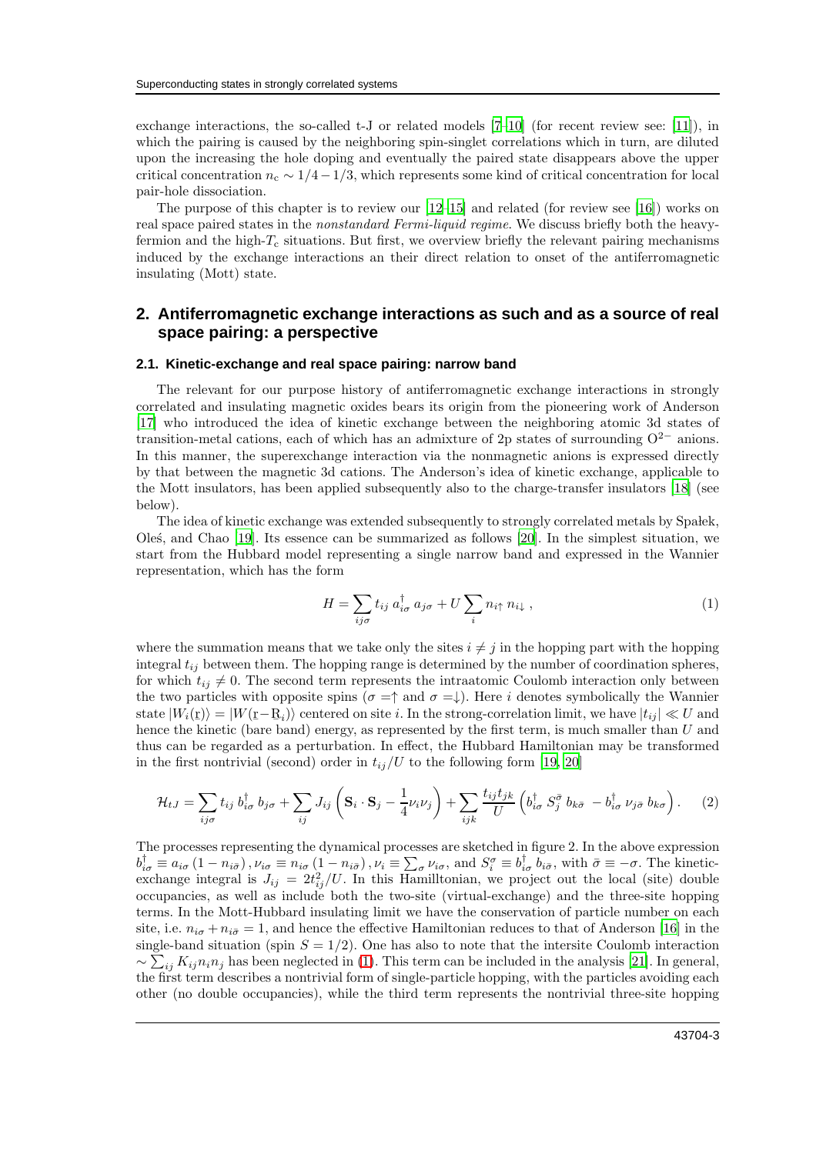exchange interactions, the so-called t-J or related models [\[7](#page-14-6)[–10\]](#page-14-7) (for recent review see: [\[11\]](#page-14-8)), in which the pairing is caused by the neighboring spin-singlet correlations which in turn, are diluted upon the increasing the hole doping and eventually the paired state disappears above the upper critical concentration  $n_c \sim 1/4-1/3$ , which represents some kind of critical concentration for local pair-hole dissociation.

The purpose of this chapter is to review our [\[12](#page-14-9)[–15\]](#page-14-10) and related (for review see [\[16\]](#page-14-11)) works on real space paired states in the nonstandard Fermi-liquid regime. We discuss briefly both the heavyfermion and the high- $T_c$  situations. But first, we overview briefly the relevant pairing mechanisms induced by the exchange interactions an their direct relation to onset of the antiferromagnetic insulating (Mott) state.

## **2. Antiferromagnetic exchange interactions as such and as a source of real space pairing: a perspective**

#### **2.1. Kinetic-exchange and real space pairing: narrow band**

The relevant for our purpose history of antiferromagnetic exchange interactions in strongly correlated and insulating magnetic oxides bears its origin from the pioneering work of Anderson [\[17\]](#page-14-12) who introduced the idea of kinetic exchange between the neighboring atomic 3d states of transition-metal cations, each of which has an admixture of 2p states of surrounding  $O^{2-}$  anions. In this manner, the superexchange interaction via the nonmagnetic anions is expressed directly by that between the magnetic 3d cations. The Anderson's idea of kinetic exchange, applicable to the Mott insulators, has been applied subsequently also to the charge-transfer insulators [\[18\]](#page-14-13) (see below).

The idea of kinetic exchange was extended subsequently to strongly correlated metals by Spalek, Ole´s, and Chao [\[19\]](#page-14-14). Its essence can be summarized as follows [\[20\]](#page-14-15). In the simplest situation, we start from the Hubbard model representing a single narrow band and expressed in the Wannier representation, which has the form

<span id="page-2-0"></span>
$$
H = \sum_{ij\sigma} t_{ij} a_{i\sigma}^{\dagger} a_{j\sigma} + U \sum_{i} n_{i\uparrow} n_{i\downarrow} , \qquad (1)
$$

where the summation means that we take only the sites  $i \neq j$  in the hopping part with the hopping integral  $t_{ij}$  between them. The hopping range is determined by the number of coordination spheres, for which  $t_{ij} \neq 0$ . The second term represents the intraatomic Coulomb interaction only between the two particles with opposite spins ( $\sigma = \uparrow$  and  $\sigma = \downarrow$ ). Here i denotes symbolically the Wannier state  $|W_i(\underline{\mathbf{r}})\rangle = |W(\underline{\mathbf{r}} - \underline{\mathbf{R}}_i)\rangle$  centered on site i. In the strong-correlation limit, we have  $|t_{ij}| \ll U$  and hence the kinetic (bare band) energy, as represented by the first term, is much smaller than U and thus can be regarded as a perturbation. In effect, the Hubbard Hamiltonian may be transformed in the first nontrivial (second) order in  $t_{ij}/U$  to the following form [\[19](#page-14-14), [20](#page-14-15)]

<span id="page-2-1"></span>
$$
\mathcal{H}_{tJ} = \sum_{ij\sigma} t_{ij} b_{i\sigma}^{\dagger} b_{j\sigma} + \sum_{ij} J_{ij} \left( \mathbf{S}_{i} \cdot \mathbf{S}_{j} - \frac{1}{4} \nu_{i} \nu_{j} \right) + \sum_{ijk} \frac{t_{ij} t_{jk}}{U} \left( b_{i\sigma}^{\dagger} S_{j}^{\bar{\sigma}} b_{k\bar{\sigma}} - b_{i\sigma}^{\dagger} \nu_{j\bar{\sigma}} b_{k\sigma} \right). \tag{2}
$$

The processes representing the dynamical processes are sketched in figure 2. In the above expression  $b_{i\sigma}^{\dagger} \equiv a_{i\sigma} (1 - n_{i\bar{\sigma}})$ ,  $\nu_{i\sigma} \equiv n_{i\sigma} (1 - n_{i\bar{\sigma}})$ ,  $\nu_i \equiv \sum_{\sigma} \nu_{i\sigma}$ , and  $S_i^{\sigma} \equiv b_{i\sigma}^{\dagger} b_{i\bar{\sigma}}$ , with  $\bar{\sigma} \equiv -\sigma$ . The kineticexchange integral is  $J_{ij} = 2t_{ij}^2/U$ . In this Hamilltonian, we project out the local (site) double occupancies, as well as include both the two-site (virtual-exchange) and the three-site hopping terms. In the Mott-Hubbard insulating limit we have the conservation of particle number on each site, i.e.  $n_{i\sigma} + n_{i\bar{\sigma}} = 1$ , and hence the effective Hamiltonian reduces to that of Anderson [\[16\]](#page-14-11) in the single-band situation (spin  $S = 1/2$ ). One has also to note that the intersite Coulomb interaction  $\sim \sum_{ij} K_{ij} n_i n_j$  has been neglected in [\(1\)](#page-2-0). This term can be included in the analysis [\[21\]](#page-14-16). In general, the first term describes a nontrivial form of single-particle hopping, with the particles avoiding each other (no double occupancies), while the third term represents the nontrivial three-site hopping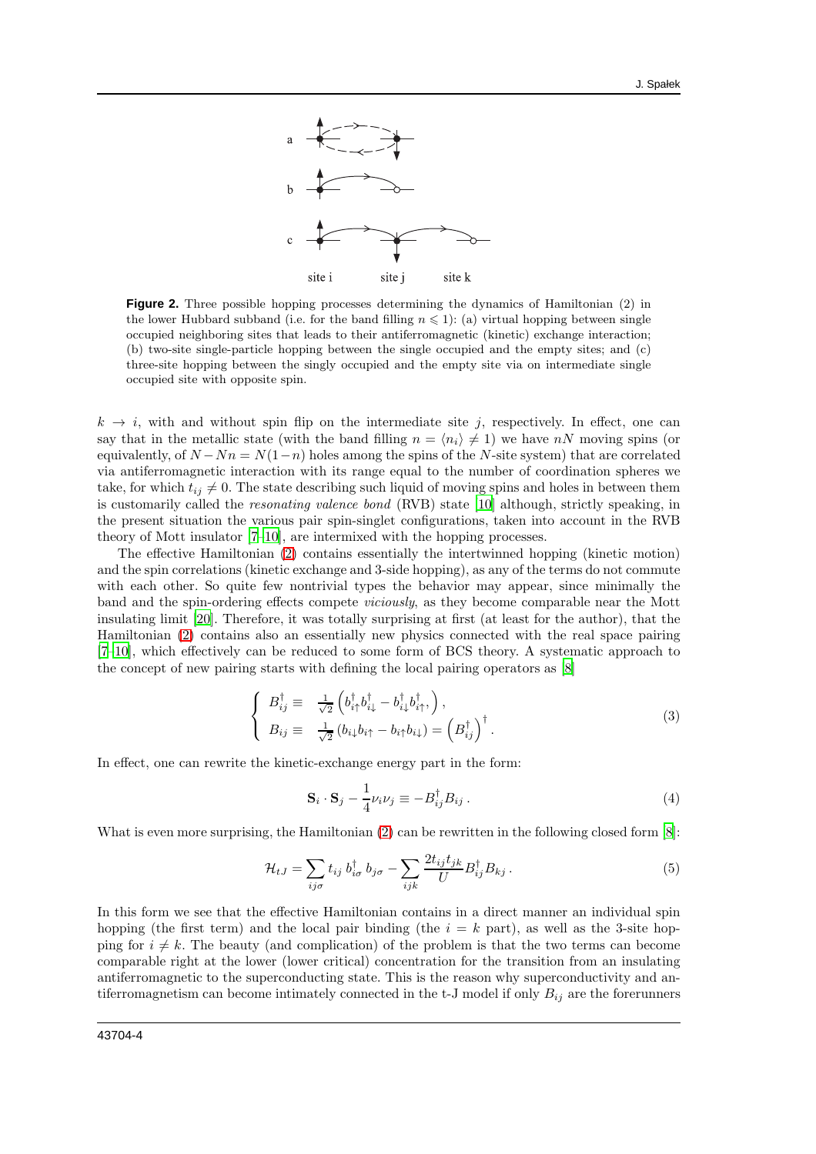

**Figure 2.** Three possible hopping processes determining the dynamics of Hamiltonian (2) in the lower Hubbard subband (i.e. for the band filling  $n \leq 1$ ): (a) virtual hopping between single occupied neighboring sites that leads to their antiferromagnetic (kinetic) exchange interaction; (b) two-site single-particle hopping between the single occupied and the empty sites; and (c) three-site hopping between the singly occupied and the empty site via on intermediate single occupied site with opposite spin.

 $k \to i$ , with and without spin flip on the intermediate site j, respectively. In effect, one can say that in the metallic state (with the band filling  $n = \langle n_i \rangle \neq 1$ ) we have nN moving spins (or equivalently, of  $N - Nn = N(1-n)$  holes among the spins of the N-site system) that are correlated via antiferromagnetic interaction with its range equal to the number of coordination spheres we take, for which  $t_{ij} \neq 0$ . The state describing such liquid of moving spins and holes in between them is customarily called the resonating valence bond (RVB) state [\[10\]](#page-14-7) although, strictly speaking, in the present situation the various pair spin-singlet configurations, taken into account in the RVB theory of Mott insulator [\[7](#page-14-6)[–10](#page-14-7)], are intermixed with the hopping processes.

The effective Hamiltonian [\(2\)](#page-2-1) contains essentially the intertwinned hopping (kinetic motion) and the spin correlations (kinetic exchange and 3-side hopping), as any of the terms do not commute with each other. So quite few nontrivial types the behavior may appear, since minimally the band and the spin-ordering effects compete viciously, as they become comparable near the Mott insulating limit [\[20](#page-14-15)]. Therefore, it was totally surprising at first (at least for the author), that the Hamiltonian [\(2\)](#page-2-1) contains also an essentially new physics connected with the real space pairing [\[7](#page-14-6)[–10\]](#page-14-7), which effectively can be reduced to some form of BCS theory. A systematic approach to the concept of new pairing starts with defining the local pairing operators as [\[8\]](#page-14-17)

$$
\begin{cases}\nB_{ij}^{\dagger} \equiv \frac{1}{\sqrt{2}} \left( b_{i\uparrow}^{\dagger} b_{i\downarrow}^{\dagger} - b_{i\downarrow}^{\dagger} b_{i\uparrow}^{\dagger}, \right), \\
B_{ij} \equiv \frac{1}{\sqrt{2}} \left( b_{i\downarrow} b_{i\uparrow} - b_{i\uparrow} b_{i\downarrow} \right) = \left( B_{ij}^{\dagger} \right)^{\dagger}.\n\end{cases} \tag{3}
$$

In effect, one can rewrite the kinetic-exchange energy part in the form:

$$
\mathbf{S}_{i} \cdot \mathbf{S}_{j} - \frac{1}{4} \nu_{i} \nu_{j} \equiv -B_{ij}^{\dagger} B_{ij} . \tag{4}
$$

What is even more surprising, the Hamiltonian [\(2\)](#page-2-1) can be rewritten in the following closed form [\[8\]](#page-14-17):

$$
\mathcal{H}_{tJ} = \sum_{ij\sigma} t_{ij} b_{i\sigma}^{\dagger} b_{j\sigma} - \sum_{ijk} \frac{2t_{ij}t_{jk}}{U} B_{ij}^{\dagger} B_{kj} . \tag{5}
$$

In this form we see that the effective Hamiltonian contains in a direct manner an individual spin hopping (the first term) and the local pair binding (the  $i = k$  part), as well as the 3-site hopping for  $i \neq k$ . The beauty (and complication) of the problem is that the two terms can become comparable right at the lower (lower critical) concentration for the transition from an insulating antiferromagnetic to the superconducting state. This is the reason why superconductivity and antiferromagnetism can become intimately connected in the t-J model if only  $B_{ij}$  are the forerunners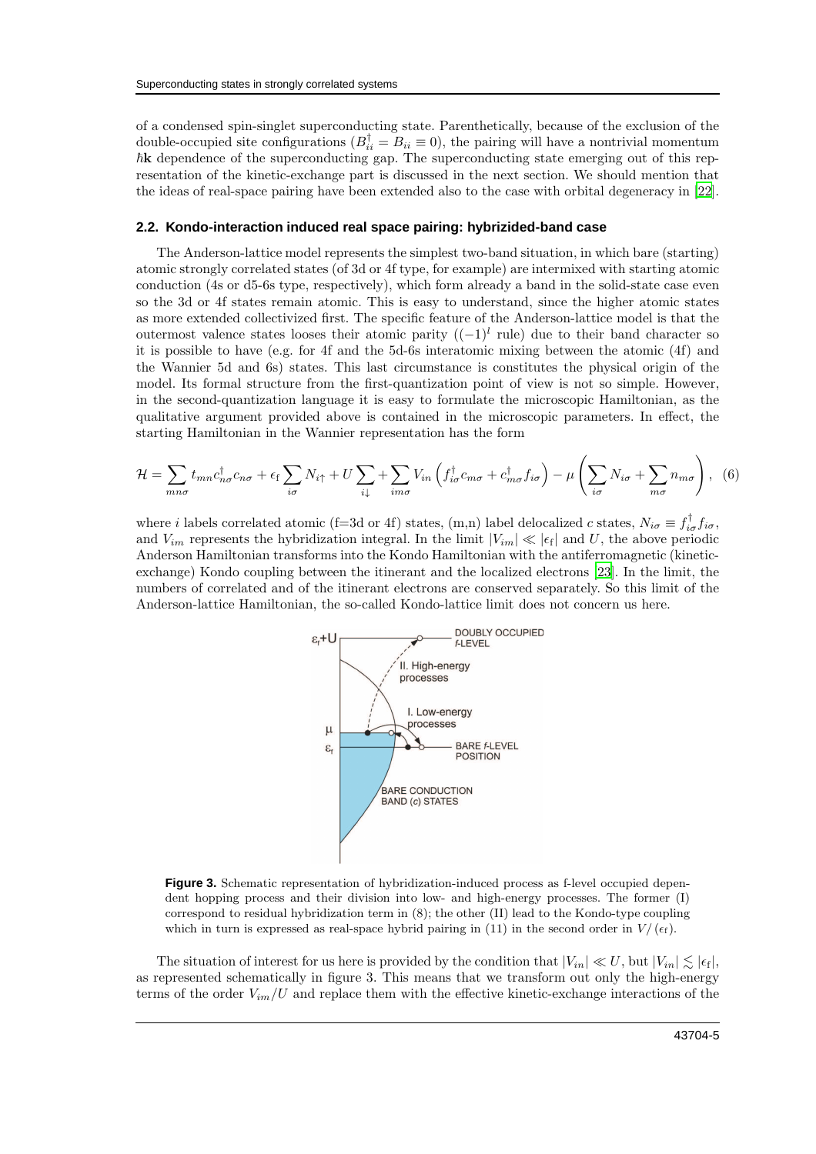of a condensed spin-singlet superconducting state. Parenthetically, because of the exclusion of the double-occupied site configurations  $(B_{ii}^{\dagger} = B_{ii} \equiv 0)$ , the pairing will have a nontrivial momentum  $\hbar$ **k** dependence of the superconducting gap. The superconducting state emerging out of this representation of the kinetic-exchange part is discussed in the next section. We should mention that the ideas of real-space pairing have been extended also to the case with orbital degeneracy in [\[22\]](#page-14-18).

#### **2.2. Kondo-interaction induced real space pairing: hybrizided-band case**

The Anderson-lattice model represents the simplest two-band situation, in which bare (starting) atomic strongly correlated states (of 3d or 4f type, for example) are intermixed with starting atomic conduction (4s or d5-6s type, respectively), which form already a band in the solid-state case even so the 3d or 4f states remain atomic. This is easy to understand, since the higher atomic states as more extended collectivized first. The specific feature of the Anderson-lattice model is that the outermost valence states looses their atomic parity  $((-1)^l)$  rule) due to their band character so it is possible to have (e.g. for 4f and the 5d-6s interatomic mixing between the atomic (4f) and the Wannier 5d and 6s) states. This last circumstance is constitutes the physical origin of the model. Its formal structure from the first-quantization point of view is not so simple. However, in the second-quantization language it is easy to formulate the microscopic Hamiltonian, as the qualitative argument provided above is contained in the microscopic parameters. In effect, the starting Hamiltonian in the Wannier representation has the form

$$
\mathcal{H} = \sum_{mn\sigma} t_{mn} c_{n\sigma}^{\dagger} c_{n\sigma} + \epsilon_{\rm f} \sum_{i\sigma} N_{i\uparrow} + U \sum_{i\downarrow} + \sum_{im\sigma} V_{in} \left( f_{i\sigma}^{\dagger} c_{m\sigma} + c_{m\sigma}^{\dagger} f_{i\sigma} \right) - \mu \left( \sum_{i\sigma} N_{i\sigma} + \sum_{m\sigma} n_{m\sigma} \right), \tag{6}
$$

where *i* labels correlated atomic (f=3d or 4f) states, (m,n) label delocalized *c* states,  $N_{i\sigma} \equiv f_{i\sigma}^{\dagger} f_{i\sigma}$ , and  $V_{im}$  represents the hybridization integral. In the limit  $|V_{im}| \ll |\epsilon_f|$  and U, the above periodic Anderson Hamiltonian transforms into the Kondo Hamiltonian with the antiferromagnetic (kineticexchange) Kondo coupling between the itinerant and the localized electrons [\[23\]](#page-14-19). In the limit, the numbers of correlated and of the itinerant electrons are conserved separately. So this limit of the Anderson-lattice Hamiltonian, the so-called Kondo-lattice limit does not concern us here.



**Figure 3.** Schematic representation of hybridization-induced process as f-level occupied dependent hopping process and their division into low- and high-energy processes. The former (I) correspond to residual hybridization term in (8); the other (II) lead to the Kondo-type coupling which in turn is expressed as real-space hybrid pairing in (11) in the second order in  $V/(\epsilon_f)$ .

The situation of interest for us here is provided by the condition that  $|V_{in}| \ll U$ , but  $|V_{in}| \lesssim |\epsilon_{\rm f}|$ , as represented schematically in figure 3. This means that we transform out only the high-energy terms of the order  $V_{im}/U$  and replace them with the effective kinetic-exchange interactions of the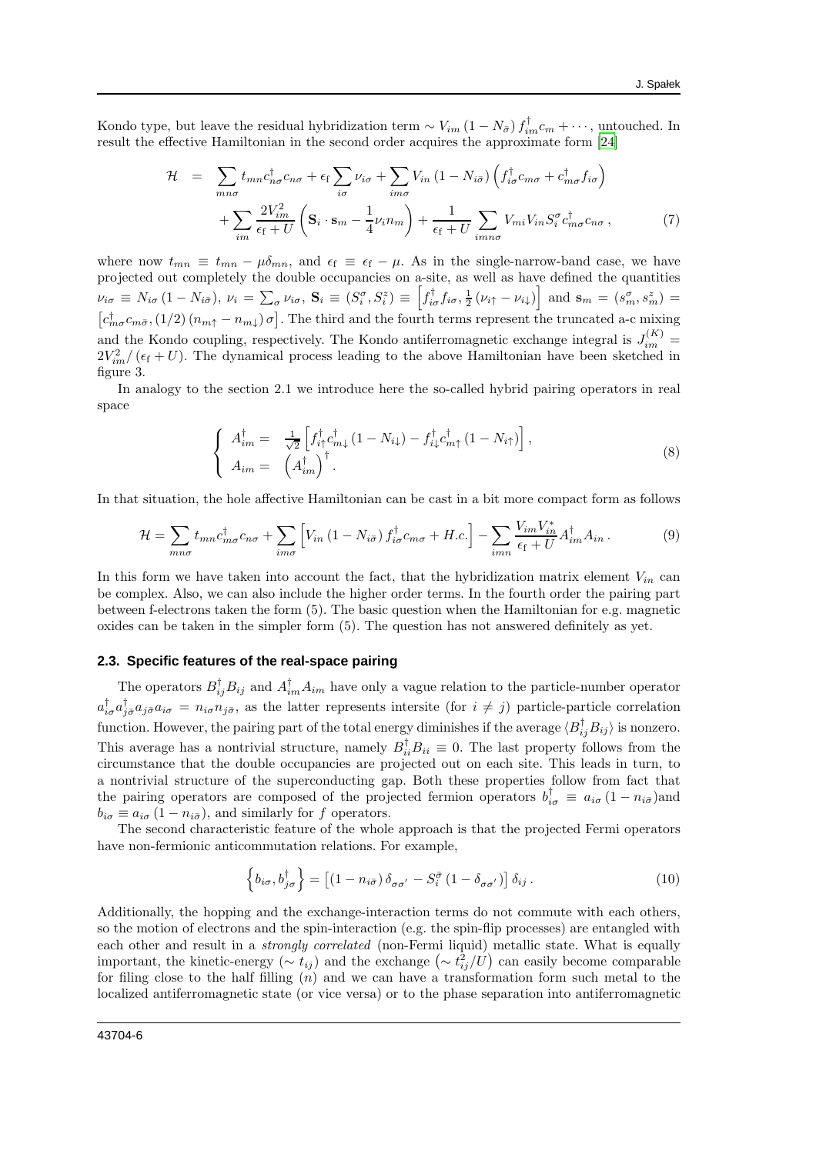Kondo type, but leave the residual hybridization term  $\sim V_{im} (1 - N_{\bar{\sigma}}) f_{im}^{\dagger} c_m + \cdots$ , untouched. In result the effective Hamiltonian in the second order acquires the approximate form [\[24](#page-14-20)]

$$
\mathcal{H} = \sum_{mn\sigma} t_{mn} c_{n\sigma}^{\dagger} c_{n\sigma} + \epsilon_{\rm f} \sum_{i\sigma} \nu_{i\sigma} + \sum_{im\sigma} V_{in} \left(1 - N_{i\bar{\sigma}}\right) \left(f_{i\sigma}^{\dagger} c_{m\sigma} + c_{m\sigma}^{\dagger} f_{i\sigma}\right) + \sum_{im} \frac{2V_{im}^2}{\epsilon_{\rm f} + U} \left(\mathbf{S}_i \cdot \mathbf{s}_m - \frac{1}{4} \nu_i n_m\right) + \frac{1}{\epsilon_{\rm f} + U} \sum_{imn\sigma} V_{mi} V_{in} S_i^{\sigma} c_{m\sigma}^{\dagger} c_{n\sigma},\tag{7}
$$

where now  $t_{mn} \equiv t_{mn} - \mu \delta_{mn}$ , and  $\epsilon_f \equiv \epsilon_f - \mu$ . As in the single-narrow-band case, we have projected out completely the double occupancies on a-site, as well as have defined the quantities  $\nu_{i\sigma} \equiv N_{i\sigma} (1 - N_{i\bar{\sigma}}), \quad \nu_i = \sum_{\sigma} \nu_{i\sigma}, \quad\n\mathbf{S}_i \equiv (S_i^{\sigma}, S_i^z) \equiv \left[ f_{i\sigma}^{\dagger} f_{i\sigma}, \frac{1}{2} (\nu_{i\uparrow} - \nu_{i\downarrow}) \right] \text{ and } \mathbf{s}_m = (s_m^{\sigma}, s_m^z) =$  $[c^{\dagger}_{m\sigma}c_{m\bar{\sigma}},(1/2)(n_{m\uparrow}-n_{m\downarrow})\sigma]$ . The third and the fourth terms represent the truncated a-c mixing and the Kondo coupling, respectively. The Kondo antiferromagnetic exchange integral is  $J_{im}^{(K)}$  =  $2V_{im}^2/(\epsilon_f+U)$ . The dynamical process leading to the above Hamiltonian have been sketched in figure 3.

In analogy to the section 2.1 we introduce here the so-called hybrid pairing operators in real space

$$
\begin{cases}\nA_{im}^{\dagger} = \frac{1}{\sqrt{2}} \left[ f_{i\uparrow}^{\dagger} c_{m\downarrow}^{\dagger} (1 - N_{i\downarrow}) - f_{i\downarrow}^{\dagger} c_{m\uparrow}^{\dagger} (1 - N_{i\uparrow}) \right], \\
A_{im} = \left( A_{im}^{\dagger} \right)^{\dagger}.\n\end{cases} \tag{8}
$$

In that situation, the hole affective Hamiltonian can be cast in a bit more compact form as follows

<span id="page-5-0"></span>
$$
\mathcal{H} = \sum_{mn\sigma} t_{mn} c_{m\sigma}^{\dagger} c_{n\sigma} + \sum_{im\sigma} \left[ V_{in} \left( 1 - N_{i\bar{\sigma}} \right) f_{i\sigma}^{\dagger} c_{m\sigma} + H.c. \right] - \sum_{imn} \frac{V_{im} V_{in}^{*}}{\epsilon_{\rm f} + U} A_{im}^{\dagger} A_{in} \,. \tag{9}
$$

In this form we have taken into account the fact, that the hybridization matrix element  $V_{in}$  can be complex. Also, we can also include the higher order terms. In the fourth order the pairing part between f-electrons taken the form (5). The basic question when the Hamiltonian for e.g. magnetic oxides can be taken in the simpler form (5). The question has not answered definitely as yet.

#### **2.3. Specific features of the real-space pairing**

The operators  $B_{ij}^{\dagger}B_{ij}$  and  $A_{im}^{\dagger}A_{im}$  have only a vague relation to the particle-number operator  $a_{i\sigma}^{\dagger}a_{j\sigma}^{\dagger}a_{j\sigma}a_{i\sigma} = n_{i\sigma}n_{j\sigma}$ , as the latter represents intersite (for  $i \neq j$ ) particle-particle correlation function. However, the pairing part of the total energy diminishes if the average  $\langle B_{ij}^{\dagger}B_{ij}\rangle$  is nonzero. This average has a nontrivial structure, namely  $B_{ii}^{\dagger}B_{ii} \equiv 0$ . The last property follows from the circumstance that the double occupancies are projected out on each site. This leads in turn, to a nontrivial structure of the superconducting gap. Both these properties follow from fact that the pairing operators are composed of the projected fermion operators  $b_{i\sigma}^{\dagger} \equiv a_{i\sigma} (1 - n_{i\bar{\sigma}})$ and  $b_{i\sigma} \equiv a_{i\sigma} (1 - n_{i\bar{\sigma}})$ , and similarly for f operators.

The second characteristic feature of the whole approach is that the projected Fermi operators have non-fermionic anticommutation relations. For example,

$$
\left\{ b_{i\sigma}, b_{j\sigma}^{\dagger} \right\} = \left[ \left( 1 - n_{i\bar{\sigma}} \right) \delta_{\sigma\sigma'} - S_i^{\bar{\sigma}} \left( 1 - \delta_{\sigma\sigma'} \right) \right] \delta_{ij} . \tag{10}
$$

Additionally, the hopping and the exchange-interaction terms do not commute with each others, so the motion of electrons and the spin-interaction (e.g. the spin-flip processes) are entangled with each other and result in a *strongly correlated* (non-Fermi liquid) metallic state. What is equally important, the kinetic-energy ( $\sim t_{ij}$ ) and the exchange ( $\sim t_{ij}^2/U$ ) can easily become comparable for filing close to the half filling  $(n)$  and we can have a transformation form such metal to the localized antiferromagnetic state (or vice versa) or to the phase separation into antiferromagnetic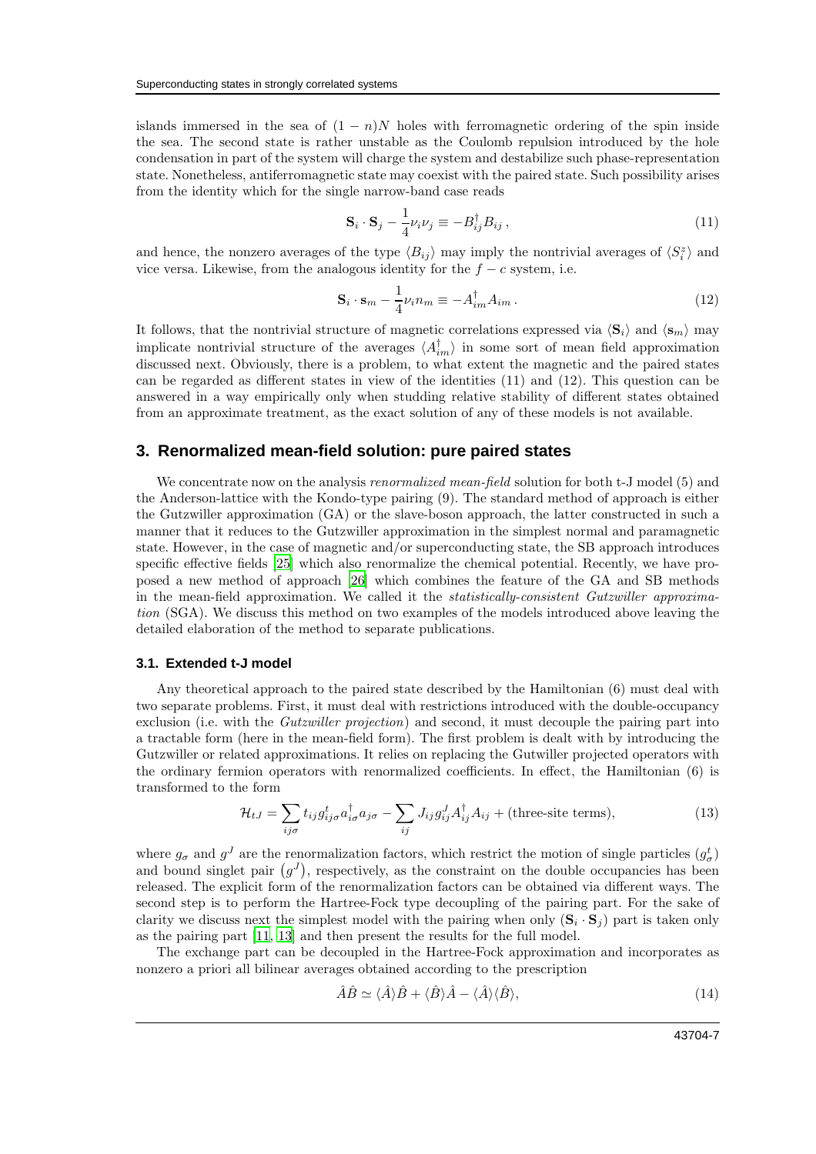islands immersed in the sea of  $(1 - n)N$  holes with ferromagnetic ordering of the spin inside the sea. The second state is rather unstable as the Coulomb repulsion introduced by the hole condensation in part of the system will charge the system and destabilize such phase-representation state. Nonetheless, antiferromagnetic state may coexist with the paired state. Such possibility arises from the identity which for the single narrow-band case reads

$$
\mathbf{S}_{i} \cdot \mathbf{S}_{j} - \frac{1}{4} \nu_{i} \nu_{j} \equiv -B_{ij}^{\dagger} B_{ij} , \qquad (11)
$$

and hence, the nonzero averages of the type  $\langle B_{ij} \rangle$  may imply the nontrivial averages of  $\langle S_i^z \rangle$  and vice versa. Likewise, from the analogous identity for the  $f - c$  system, i.e.

$$
\mathbf{S}_i \cdot \mathbf{s}_m - \frac{1}{4} \nu_i n_m \equiv -A_{im}^\dagger A_{im} \,. \tag{12}
$$

It follows, that the nontrivial structure of magnetic correlations expressed via  $\langle S_i \rangle$  and  $\langle s_m \rangle$  may implicate nontrivial structure of the averages  $\langle A_{im}^{\dagger} \rangle$  in some sort of mean field approximation discussed next. Obviously, there is a problem, to what extent the magnetic and the paired states can be regarded as different states in view of the identities (11) and (12). This question can be answered in a way empirically only when studding relative stability of different states obtained from an approximate treatment, as the exact solution of any of these models is not available.

### **3. Renormalized mean-field solution: pure paired states**

We concentrate now on the analysis *renormalized mean-field* solution for both t-J model (5) and the Anderson-lattice with the Kondo-type pairing (9). The standard method of approach is either the Gutzwiller approximation (GA) or the slave-boson approach, the latter constructed in such a manner that it reduces to the Gutzwiller approximation in the simplest normal and paramagnetic state. However, in the case of magnetic and/or superconducting state, the SB approach introduces specific effective fields [\[25\]](#page-14-21) which also renormalize the chemical potential. Recently, we have proposed a new method of approach [\[26\]](#page-14-22) which combines the feature of the GA and SB methods in the mean-field approximation. We called it the statistically-consistent Gutzwiller approximation (SGA). We discuss this method on two examples of the models introduced above leaving the detailed elaboration of the method to separate publications.

#### **3.1. Extended t-J model**

Any theoretical approach to the paired state described by the Hamiltonian (6) must deal with two separate problems. First, it must deal with restrictions introduced with the double-occupancy exclusion (i.e. with the *Gutzwiller projection*) and second, it must decouple the pairing part into a tractable form (here in the mean-field form). The first problem is dealt with by introducing the Gutzwiller or related approximations. It relies on replacing the Gutwiller projected operators with the ordinary fermion operators with renormalized coefficients. In effect, the Hamiltonian (6) is transformed to the form

<span id="page-6-0"></span>
$$
\mathcal{H}_{tJ} = \sum_{ij\sigma} t_{ij} g_{ij\sigma}^t a_{i\sigma}^{\dagger} a_{j\sigma} - \sum_{ij} J_{ij} g_{ij}^J A_{ij}^{\dagger} A_{ij} + \text{(three-site terms)},\tag{13}
$$

where  $g_{\sigma}$  and  $g^{J}$  are the renormalization factors, which restrict the motion of single particles  $(g_{\sigma}^{t})$ and bound singlet pair  $(g^J)$ , respectively, as the constraint on the double occupancies has been released. The explicit form of the renormalization factors can be obtained via different ways. The second step is to perform the Hartree-Fock type decoupling of the pairing part. For the sake of clarity we discuss next the simplest model with the pairing when only  $(\mathbf{S}_i \cdot \mathbf{S}_j)$  part is taken only as the pairing part [\[11,](#page-14-8) [13\]](#page-14-23) and then present the results for the full model.

The exchange part can be decoupled in the Hartree-Fock approximation and incorporates as nonzero a priori all bilinear averages obtained according to the prescription

$$
\hat{A}\hat{B} \simeq \langle \hat{A} \rangle \hat{B} + \langle \hat{B} \rangle \hat{A} - \langle \hat{A} \rangle \langle \hat{B} \rangle, \tag{14}
$$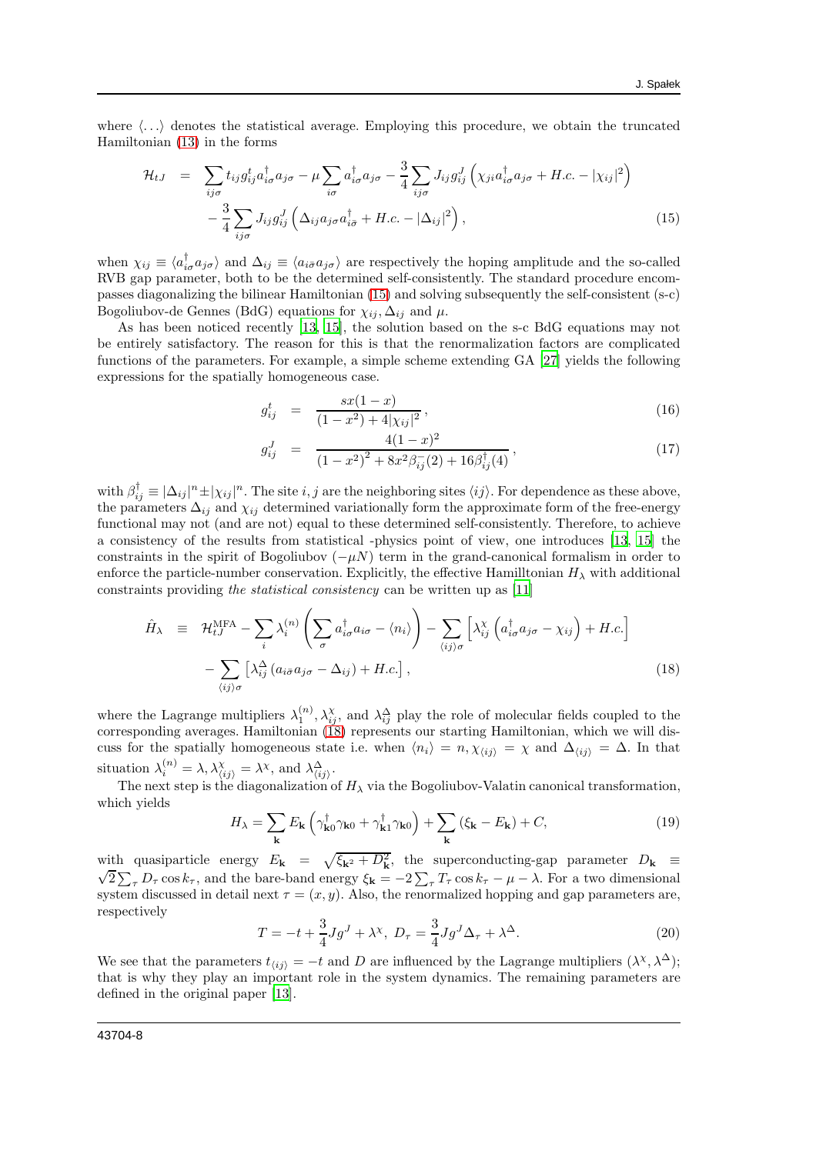where  $\langle \ldots \rangle$  denotes the statistical average. Employing this procedure, we obtain the truncated Hamiltonian [\(13\)](#page-6-0) in the forms

<span id="page-7-0"></span>
$$
\mathcal{H}_{tJ} = \sum_{ij\sigma} t_{ij} g_{ij}^{\dagger} a_{i\sigma}^{\dagger} a_{j\sigma} - \mu \sum_{i\sigma} a_{i\sigma}^{\dagger} a_{j\sigma} - \frac{3}{4} \sum_{ij\sigma} J_{ij} g_{ij}^J \left( \chi_{ji} a_{i\sigma}^{\dagger} a_{j\sigma} + H.c. - |\chi_{ij}|^2 \right) - \frac{3}{4} \sum_{ij\sigma} J_{ij} g_{ij}^J \left( \Delta_{ij} a_{j\sigma} a_{i\bar{\sigma}}^{\dagger} + H.c. - |\Delta_{ij}|^2 \right), \tag{15}
$$

when  $\chi_{ij} \equiv \langle a_{i\sigma}^{\dagger} a_{j\sigma} \rangle$  and  $\Delta_{ij} \equiv \langle a_{i\bar{\sigma}} a_{j\sigma} \rangle$  are respectively the hoping amplitude and the so-called RVB gap parameter, both to be the determined self-consistently. The standard procedure encompasses diagonalizing the bilinear Hamiltonian [\(15\)](#page-7-0) and solving subsequently the self-consistent (s-c) Bogoliubov-de Gennes (BdG) equations for  $\chi_{ij}$ ,  $\Delta_{ij}$  and  $\mu$ .

As has been noticed recently [\[13,](#page-14-23) [15](#page-14-10)], the solution based on the s-c BdG equations may not be entirely satisfactory. The reason for this is that the renormalization factors are complicated functions of the parameters. For example, a simple scheme extending GA [\[27](#page-14-24)] yields the following expressions for the spatially homogeneous case.

$$
g_{ij}^t = \frac{sx(1-x)}{(1-x^2) + 4|x_{ij}|^2}, \qquad (16)
$$

$$
g_{ij}^J = \frac{4(1-x)^2}{(1-x^2)^2 + 8x^2\beta_{ij}^-(2) + 16\beta_{ij}^{\dagger}(4)},
$$
\n(17)

with  $\beta_{ij}^{\dagger} \equiv |\Delta_{ij}|^n \pm |\chi_{ij}|^n$ . The site  $i, j$  are the neighboring sites  $\langle ij \rangle$ . For dependence as these above, the parameters  $\Delta_{ij}$  and  $\chi_{ij}$  determined variationally form the approximate form of the free-energy functional may not (and are not) equal to these determined self-consistently. Therefore, to achieve a consistency of the results from statistical -physics point of view, one introduces [\[13,](#page-14-23) [15\]](#page-14-10) the constraints in the spirit of Bogoliubov  $(-\mu N)$  term in the grand-canonical formalism in order to enforce the particle-number conservation. Explicitly, the effective Hamilltonian  $H_{\lambda}$  with additional constraints providing the statistical consistency can be written up as [\[11](#page-14-8)]

<span id="page-7-1"></span>
$$
\hat{H}_{\lambda} = \mathcal{H}_{tJ}^{\text{MFA}} - \sum_{i} \lambda_{i}^{(n)} \left( \sum_{\sigma} a_{i\sigma}^{\dagger} a_{i\sigma} - \langle n_{i} \rangle \right) - \sum_{\langle ij \rangle \sigma} \left[ \lambda_{ij}^{\chi} \left( a_{i\sigma}^{\dagger} a_{j\sigma} - \chi_{ij} \right) + H.c. \right] - \sum_{\langle ij \rangle \sigma} \left[ \lambda_{ij}^{\Delta} \left( a_{i\sigma} a_{j\sigma} - \Delta_{ij} \right) + H.c. \right],
$$
\n(18)

where the Lagrange multipliers  $\lambda_1^{(n)}, \lambda_{ij}^{\chi}$ , and  $\lambda_{ij}^{\Delta}$  play the role of molecular fields coupled to the corresponding averages. Hamiltonian [\(18\)](#page-7-1) represents our starting Hamiltonian, which we will discuss for the spatially homogeneous state i.e. when  $\langle n_i \rangle = n, \chi_{\langle ij \rangle} = \chi$  and  $\Delta_{\langle ij \rangle} = \Delta$ . In that situation  $\lambda_i^{(n)} = \lambda, \lambda_{\langle ij \rangle}^{\chi} = \lambda^{\chi}, \text{ and } \lambda_{\langle ij \rangle}^{\Delta}.$ 

The next step is the diagonalization of  $H_{\lambda}$  via the Bogoliubov-Valatin canonical transformation, which yields

$$
H_{\lambda} = \sum_{\mathbf{k}} E_{\mathbf{k}} \left( \gamma_{\mathbf{k}0}^{\dagger} \gamma_{\mathbf{k}0} + \gamma_{\mathbf{k}1}^{\dagger} \gamma_{\mathbf{k}0} \right) + \sum_{\mathbf{k}} \left( \xi_{\mathbf{k}} - E_{\mathbf{k}} \right) + C, \tag{19}
$$

with quasiparticle energy  $E_{\mathbf{k}} = \sqrt{\xi_{\mathbf{k}^2} + D_{\mathbf{k}}^2}$ , the superconducting-gap parameter  $D_{\mathbf{k}} \equiv \sqrt{2 \sum P_{\mathbf{k}}} D_{\mathbf{k}}$  and the bare band operation  $\xi_{\mathbf{k}} = 2 \sum P_{\mathbf{k}}$  and  $\mathbf{k}$  is the dimensional  $2\sum_{\tau} D_{\tau} \cos k_{\tau}$ , and the bare-band energy  $\xi_{\mathbf{k}} = -2\sum_{\tau} T_{\tau} \cos k_{\tau} - \mu - \lambda$ . For a two dimensional system discussed in detail next  $\tau = (x, y)$ . Also, the renormalized hopping and gap parameters are, respectively

$$
T = -t + \frac{3}{4}Jg^J + \lambda^\chi, \ D_\tau = \frac{3}{4}Jg^J\Delta_\tau + \lambda^\Delta.
$$
 (20)

We see that the parameters  $t_{\langle ij \rangle} = -t$  and D are influenced by the Lagrange multipliers  $(\lambda^{\chi}, \lambda^{\Delta})$ ; that is why they play an important role in the system dynamics. The remaining parameters are defined in the original paper [\[13\]](#page-14-23).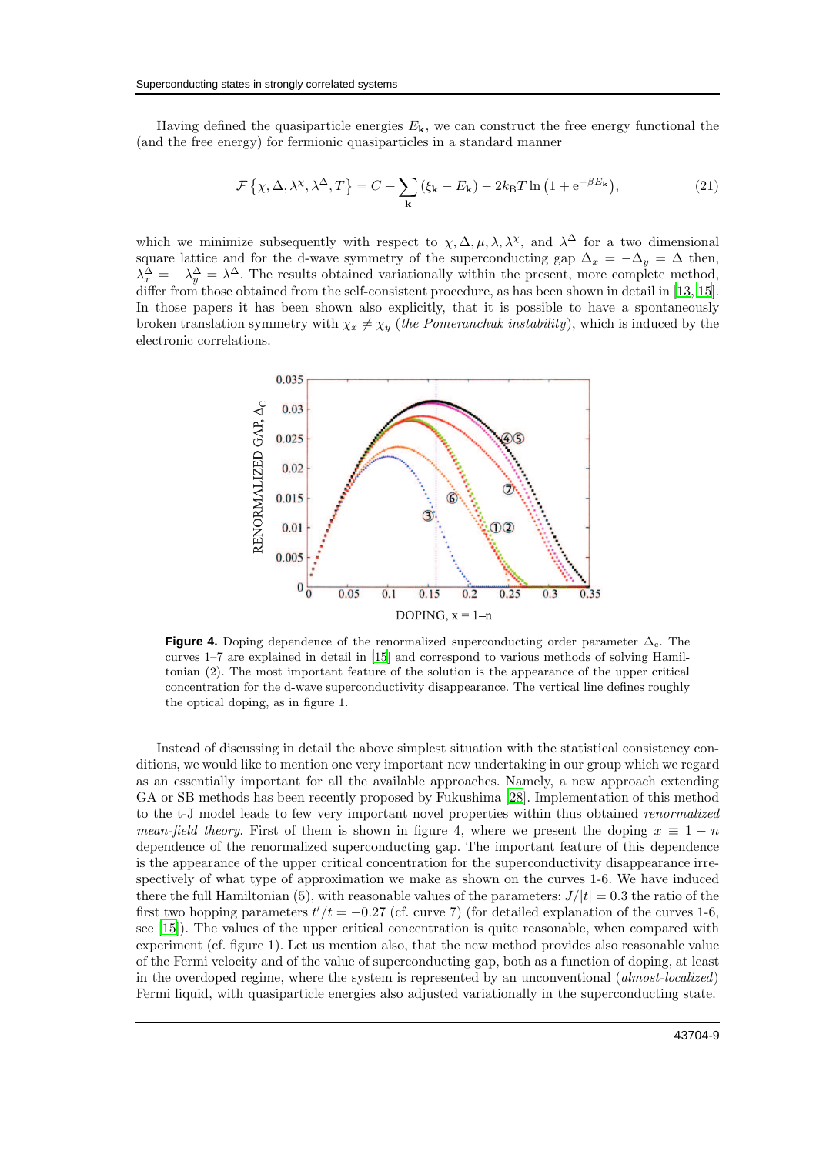Having defined the quasiparticle energies  $E_{\mathbf{k}}$ , we can construct the free energy functional the (and the free energy) for fermionic quasiparticles in a standard manner

$$
\mathcal{F}\left\{\chi,\Delta,\lambda^{\chi},\lambda^{\Delta},T\right\} = C + \sum_{\mathbf{k}}\left(\xi_{\mathbf{k}} - E_{\mathbf{k}}\right) - 2k_{\mathrm{B}}T\ln\left(1 + e^{-\beta E_{\mathbf{k}}}\right),\tag{21}
$$

which we minimize subsequently with respect to  $\chi, \Delta, \mu, \lambda, \lambda^{\chi}$ , and  $\lambda^{\Delta}$  for a two dimensional square lattice and for the d-wave symmetry of the superconducting gap  $\Delta_x = -\Delta_y = \Delta$  then,  $\lambda_x^{\Delta} = -\lambda_y^{\Delta} = \lambda^{\Delta}$ . The results obtained variationally within the present, more complete method, differ from those obtained from the self-consistent procedure, as has been shown in detail in [\[13,](#page-14-23) [15\]](#page-14-10). In those papers it has been shown also explicitly, that it is possible to have a spontaneously broken translation symmetry with  $\chi_x \neq \chi_y$  (the Pomeranchuk instability), which is induced by the electronic correlations.



**Figure 4.** Doping dependence of the renormalized superconducting order parameter  $\Delta_c$ . The curves 1–7 are explained in detail in [\[15](#page-14-10)] and correspond to various methods of solving Hamiltonian (2). The most important feature of the solution is the appearance of the upper critical concentration for the d-wave superconductivity disappearance. The vertical line defines roughly the optical doping, as in figure 1.

Instead of discussing in detail the above simplest situation with the statistical consistency conditions, we would like to mention one very important new undertaking in our group which we regard as an essentially important for all the available approaches. Namely, a new approach extending GA or SB methods has been recently proposed by Fukushima [\[28](#page-14-25)]. Implementation of this method to the t-J model leads to few very important novel properties within thus obtained renormalized mean-field theory. First of them is shown in figure 4, where we present the doping  $x \equiv 1 - n$ dependence of the renormalized superconducting gap. The important feature of this dependence is the appearance of the upper critical concentration for the superconductivity disappearance irrespectively of what type of approximation we make as shown on the curves 1-6. We have induced there the full Hamiltonian (5), with reasonable values of the parameters:  $J/|t| = 0.3$  the ratio of the first two hopping parameters  $t'/t = -0.27$  (cf. curve 7) (for detailed explanation of the curves 1-6, see [\[15](#page-14-10)]). The values of the upper critical concentration is quite reasonable, when compared with experiment (cf. figure 1). Let us mention also, that the new method provides also reasonable value of the Fermi velocity and of the value of superconducting gap, both as a function of doping, at least in the overdoped regime, where the system is represented by an unconventional (almost-localized) Fermi liquid, with quasiparticle energies also adjusted variationally in the superconducting state.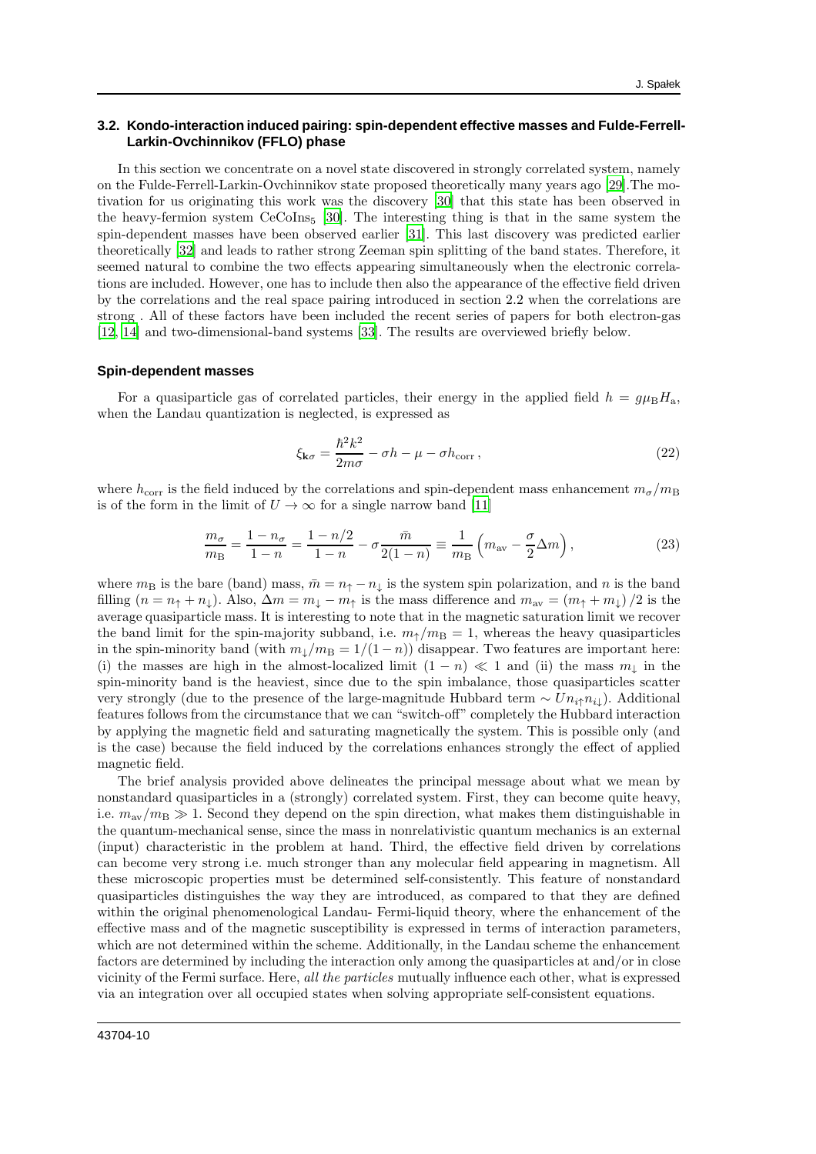## **3.2. Kondo-interaction induced pairing: spin-dependent effective masses and Fulde-Ferrell-Larkin-Ovchinnikov (FFLO) phase**

In this section we concentrate on a novel state discovered in strongly correlated system, namely on the Fulde-Ferrell-Larkin-Ovchinnikov state proposed theoretically many years ago [\[29\]](#page-14-26).The motivation for us originating this work was the discovery [\[30\]](#page-15-1) that this state has been observed in the heavy-fermion system  $CeCoIns<sub>5</sub>$  [\[30\]](#page-15-1). The interesting thing is that in the same system the spin-dependent masses have been observed earlier [\[31\]](#page-15-2). This last discovery was predicted earlier theoretically [\[32\]](#page-15-3) and leads to rather strong Zeeman spin splitting of the band states. Therefore, it seemed natural to combine the two effects appearing simultaneously when the electronic correlations are included. However, one has to include then also the appearance of the effective field driven by the correlations and the real space pairing introduced in section 2.2 when the correlations are strong . All of these factors have been included the recent series of papers for both electron-gas [\[12,](#page-14-9) [14\]](#page-14-27) and two-dimensional-band systems [\[33](#page-15-4)]. The results are overviewed briefly below.

#### **Spin-dependent masses**

For a quasiparticle gas of correlated particles, their energy in the applied field  $h = q\mu_BH_a$ , when the Landau quantization is neglected, is expressed as

$$
\xi_{\mathbf{k}\sigma} = \frac{\hbar^2 k^2}{2m\sigma} - \sigma h - \mu - \sigma h_{\text{corr}}\,,\tag{22}
$$

where  $h_{\text{corr}}$  is the field induced by the correlations and spin-dependent mass enhancement  $m_{\sigma}/m_{\text{B}}$ is of the form in the limit of  $U \to \infty$  for a single narrow band [\[11](#page-14-8)]

$$
\frac{m_{\sigma}}{m_{\rm B}} = \frac{1 - n_{\sigma}}{1 - n} = \frac{1 - n/2}{1 - n} - \sigma \frac{\bar{m}}{2(1 - n)} \equiv \frac{1}{m_{\rm B}} \left( m_{\rm av} - \frac{\sigma}{2} \Delta m \right),\tag{23}
$$

where  $m_B$  is the bare (band) mass,  $\bar{m} = n_{\uparrow} - n_{\downarrow}$  is the system spin polarization, and n is the band filling  $(n = n_{\uparrow} + n_{\downarrow})$ . Also,  $\Delta m = m_{\downarrow} - m_{\uparrow}$  is the mass difference and  $m_{\text{av}} = (m_{\uparrow} + m_{\downarrow})/2$  is the average quasiparticle mass. It is interesting to note that in the magnetic saturation limit we recover the band limit for the spin-majority subband, i.e.  $m<sub>†</sub>/m<sub>B</sub> = 1$ , whereas the heavy quasiparticles in the spin-minority band (with  $m_{\perp}/m_B = 1/(1-n)$ ) disappear. Two features are important here: (i) the masses are high in the almost-localized limit  $(1 - n) \ll 1$  and (ii) the mass  $m_{\downarrow}$  in the spin-minority band is the heaviest, since due to the spin imbalance, those quasiparticles scatter very strongly (due to the presence of the large-magnitude Hubbard term  $\sim Un_i \nmid n_{i\downarrow}$ ). Additional features follows from the circumstance that we can "switch-off" completely the Hubbard interaction by applying the magnetic field and saturating magnetically the system. This is possible only (and is the case) because the field induced by the correlations enhances strongly the effect of applied magnetic field.

The brief analysis provided above delineates the principal message about what we mean by nonstandard quasiparticles in a (strongly) correlated system. First, they can become quite heavy, i.e.  $m_{\text{av}}/m_{\text{B}} \gg 1$ . Second they depend on the spin direction, what makes them distinguishable in the quantum-mechanical sense, since the mass in nonrelativistic quantum mechanics is an external (input) characteristic in the problem at hand. Third, the effective field driven by correlations can become very strong i.e. much stronger than any molecular field appearing in magnetism. All these microscopic properties must be determined self-consistently. This feature of nonstandard quasiparticles distinguishes the way they are introduced, as compared to that they are defined within the original phenomenological Landau- Fermi-liquid theory, where the enhancement of the effective mass and of the magnetic susceptibility is expressed in terms of interaction parameters, which are not determined within the scheme. Additionally, in the Landau scheme the enhancement factors are determined by including the interaction only among the quasiparticles at and/or in close vicinity of the Fermi surface. Here, all the particles mutually influence each other, what is expressed via an integration over all occupied states when solving appropriate self-consistent equations.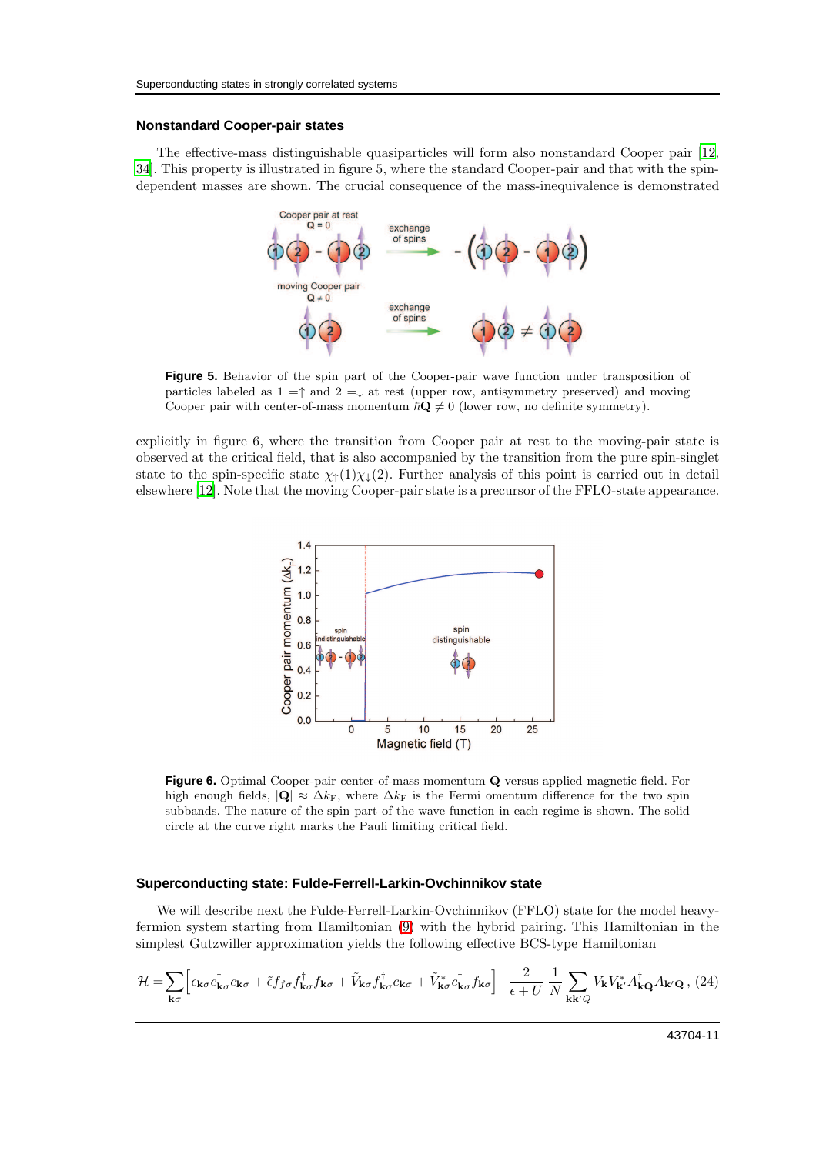#### **Nonstandard Cooper-pair states**

The effective-mass distinguishable quasiparticles will form also nonstandard Cooper pair [\[12,](#page-14-9) [34](#page-15-5)]. This property is illustrated in figure 5, where the standard Cooper-pair and that with the spindependent masses are shown. The crucial consequence of the mass-inequivalence is demonstrated



**Figure 5.** Behavior of the spin part of the Cooper-pair wave function under transposition of particles labeled as  $1 = \uparrow$  and  $2 = \downarrow$  at rest (upper row, antisymmetry preserved) and moving Cooper pair with center-of-mass momentum  $\hbar \mathbf{Q} \neq 0$  (lower row, no definite symmetry).

explicitly in figure 6, where the transition from Cooper pair at rest to the moving-pair state is observed at the critical field, that is also accompanied by the transition from the pure spin-singlet state to the spin-specific state  $\chi_{\uparrow}(1)\chi_{\downarrow}(2)$ . Further analysis of this point is carried out in detail elsewhere [\[12](#page-14-9)]. Note that the moving Cooper-pair state is a precursor of the FFLO-state appearance.



**Figure 6.** Optimal Cooper-pair center-of-mass momentum Q versus applied magnetic field. For high enough fields,  $|{\bf Q}| \approx \Delta k_F$ , where  $\Delta k_F$  is the Fermi omentum difference for the two spin subbands. The nature of the spin part of the wave function in each regime is shown. The solid circle at the curve right marks the Pauli limiting critical field.

#### **Superconducting state: Fulde-Ferrell-Larkin-Ovchinnikov state**

We will describe next the Fulde-Ferrell-Larkin-Ovchinnikov (FFLO) state for the model heavyfermion system starting from Hamiltonian [\(9\)](#page-5-0) with the hybrid pairing. This Hamiltonian in the simplest Gutzwiller approximation yields the following effective BCS-type Hamiltonian

$$
\mathcal{H} = \sum_{\mathbf{k}\sigma} \Big[ \epsilon_{\mathbf{k}\sigma} c_{\mathbf{k}\sigma}^{\dagger} c_{\mathbf{k}\sigma} + \tilde{\epsilon} f_{f\sigma} f_{\mathbf{k}\sigma}^{\dagger} f_{\mathbf{k}\sigma} + \tilde{V}_{\mathbf{k}\sigma} f_{\mathbf{k}\sigma}^{\dagger} c_{\mathbf{k}\sigma} + \tilde{V}_{\mathbf{k}\sigma}^* c_{\mathbf{k}\sigma}^{\dagger} f_{\mathbf{k}\sigma} \Big] - \frac{2}{\epsilon + U} \frac{1}{N} \sum_{\mathbf{k}\mathbf{k}'Q} V_{\mathbf{k}} V_{\mathbf{k}'}^* A_{\mathbf{k}Q}^{\dagger} A_{\mathbf{k}'Q} , (24)
$$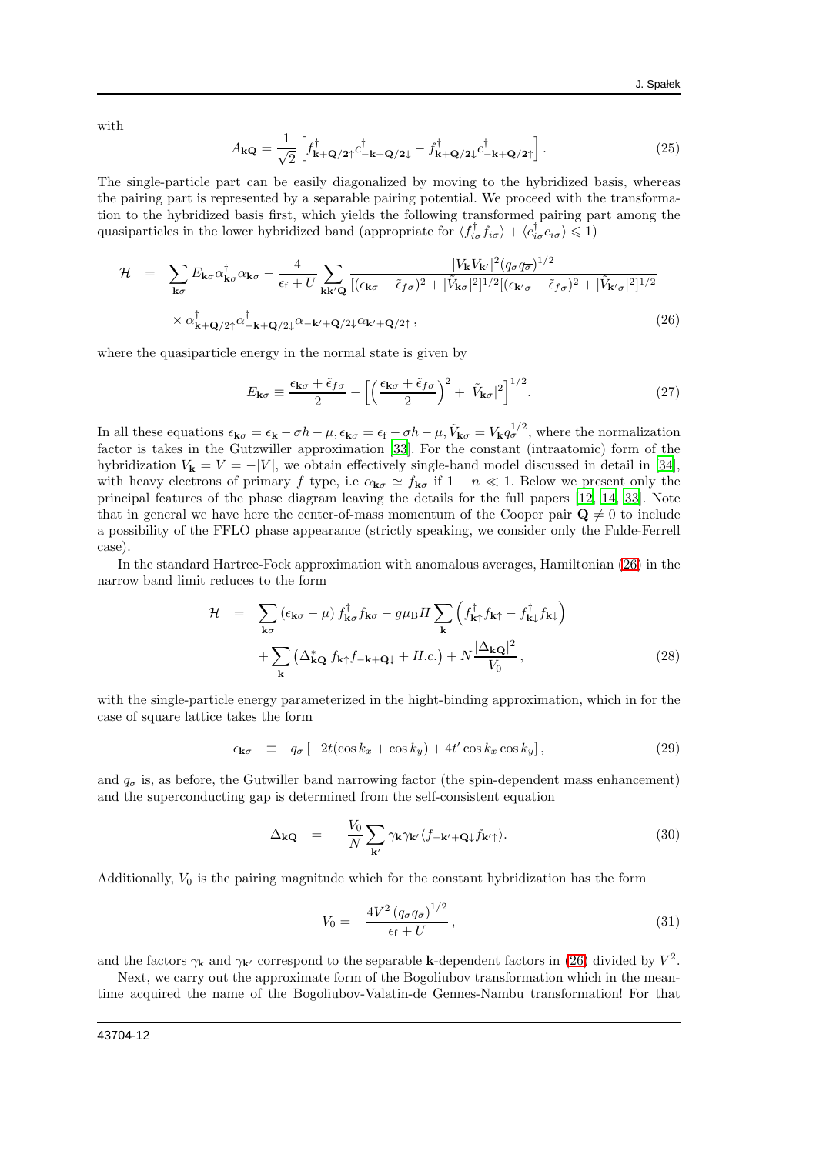with

$$
A_{\mathbf{kQ}} = \frac{1}{\sqrt{2}} \left[ f_{\mathbf{k} + \mathbf{Q}/2\uparrow}^{\dagger} c_{-\mathbf{k} + \mathbf{Q}/2\downarrow}^{\dagger} - f_{\mathbf{k} + \mathbf{Q}/2\downarrow}^{\dagger} c_{-\mathbf{k} + \mathbf{Q}/2\uparrow}^{\dagger} \right].
$$
 (25)

The single-particle part can be easily diagonalized by moving to the hybridized basis, whereas the pairing part is represented by a separable pairing potential. We proceed with the transformation to the hybridized basis first, which yields the following transformed pairing part among the quasiparticles in the lower hybridized band (appropriate for  $\langle f_{i\sigma}^{\dagger} f_{i\sigma} \rangle + \langle c_{i\sigma}^{\dagger} c_{i\sigma} \rangle \leq 1$ )

<span id="page-11-0"></span>
$$
\mathcal{H} = \sum_{\mathbf{k}\sigma} E_{\mathbf{k}\sigma} \alpha_{\mathbf{k}\sigma}^{\dagger} \alpha_{\mathbf{k}\sigma} - \frac{4}{\epsilon_{\rm f} + U} \sum_{\mathbf{k}\mathbf{k}'\mathbf{Q}} \frac{|V_{\mathbf{k}} V_{\mathbf{k}'}|^2 (q_{\sigma} q_{\overline{\sigma}})^{1/2}}{[(\epsilon_{\mathbf{k}\sigma} - \tilde{\epsilon}_{f\sigma})^2 + |\tilde{V}_{\mathbf{k}\sigma}|^2]^{1/2} [(\epsilon_{\mathbf{k}'\overline{\sigma}} - \tilde{\epsilon}_{f\overline{\sigma}})^2 + |\tilde{V}_{\mathbf{k}'\overline{\sigma}}|^2]^{1/2}} \times \alpha_{\mathbf{k} + \mathbf{Q}/2\uparrow}^{\dagger} \alpha_{-\mathbf{k} + \mathbf{Q}/2\downarrow}^{\dagger} \alpha_{-\mathbf{k}' + \mathbf{Q}/2\downarrow}^{\dagger} \alpha_{\mathbf{k}' + \mathbf{Q}/2\uparrow} \,, \tag{26}
$$

where the quasiparticle energy in the normal state is given by

$$
E_{\mathbf{k}\sigma} \equiv \frac{\epsilon_{\mathbf{k}\sigma} + \tilde{\epsilon}_{f\sigma}}{2} - \left[ \left( \frac{\epsilon_{\mathbf{k}\sigma} + \tilde{\epsilon}_{f\sigma}}{2} \right)^2 + |\tilde{V}_{\mathbf{k}\sigma}|^2 \right]^{1/2}.
$$
 (27)

In all these equations  $\epsilon_{\mathbf{k}\sigma} = \epsilon_{\mathbf{k}} - \sigma h - \mu$ ,  $\epsilon_{\mathbf{k}\sigma} = \epsilon_{\mathbf{f}} - \sigma h - \mu$ ,  $\tilde{V}_{\mathbf{k}\sigma} = V_{\mathbf{k}} q_{\sigma}^{1/2}$ , where the normalization factor is takes in the Gutzwiller approximation [\[33\]](#page-15-4). For the constant (intraatomic) form of the hybridization  $V_{\mathbf{k}} = V = -|V|$ , we obtain effectively single-band model discussed in detail in [\[34\]](#page-15-5), with heavy electrons of primary f type, i.e  $\alpha_{\mathbf{k}\sigma} \simeq f_{\mathbf{k}\sigma}$  if  $1 - n \ll 1$ . Below we present only the principal features of the phase diagram leaving the details for the full papers [\[12,](#page-14-9) [14,](#page-14-27) [33\]](#page-15-4). Note that in general we have here the center-of-mass momentum of the Cooper pair  $\mathbf{Q} \neq 0$  to include a possibility of the FFLO phase appearance (strictly speaking, we consider only the Fulde-Ferrell case).

In the standard Hartree-Fock approximation with anomalous averages, Hamiltonian [\(26\)](#page-11-0) in the narrow band limit reduces to the form

<span id="page-11-1"></span>
$$
\mathcal{H} = \sum_{\mathbf{k}\sigma} (\epsilon_{\mathbf{k}\sigma} - \mu) f_{\mathbf{k}\sigma}^{\dagger} f_{\mathbf{k}\sigma} - g\mu_{\rm B} H \sum_{\mathbf{k}} \left( f_{\mathbf{k}\uparrow}^{\dagger} f_{\mathbf{k}\uparrow} - f_{\mathbf{k}\downarrow}^{\dagger} f_{\mathbf{k}\downarrow} \right) \n+ \sum_{\mathbf{k}} \left( \Delta_{\mathbf{k}\mathbf{Q}}^* f_{\mathbf{k}\uparrow} f_{-\mathbf{k}+\mathbf{Q}\downarrow} + H.c. \right) + N \frac{|\Delta_{\mathbf{k}\mathbf{Q}}|^2}{V_0},
$$
\n(28)

with the single-particle energy parameterized in the hight-binding approximation, which in for the case of square lattice takes the form

<span id="page-11-2"></span>
$$
\epsilon_{\mathbf{k}\sigma} \equiv q_{\sigma} \left[ -2t(\cos k_x + \cos k_y) + 4t' \cos k_x \cos k_y \right], \tag{29}
$$

and  $q_{\sigma}$  is, as before, the Gutwiller band narrowing factor (the spin-dependent mass enhancement) and the superconducting gap is determined from the self-consistent equation

$$
\Delta_{\mathbf{kQ}} = -\frac{V_0}{N} \sum_{\mathbf{k}'} \gamma_{\mathbf{k}} \gamma_{\mathbf{k}'} \langle f_{-\mathbf{k}'+\mathbf{Q}\downarrow} f_{\mathbf{k}'\uparrow} \rangle.
$$
 (30)

Additionally,  $V_0$  is the pairing magnitude which for the constant hybridization has the form

$$
V_0 = -\frac{4V^2 (q_\sigma q_{\bar{\sigma}})^{1/2}}{\epsilon_{\rm f} + U},
$$
\n(31)

and the factors  $\gamma_k$  and  $\gamma_{k'}$  correspond to the separable k-dependent factors in [\(26\)](#page-11-0) divided by  $V^2$ .

Next, we carry out the approximate form of the Bogoliubov transformation which in the meantime acquired the name of the Bogoliubov-Valatin-de Gennes-Nambu transformation! For that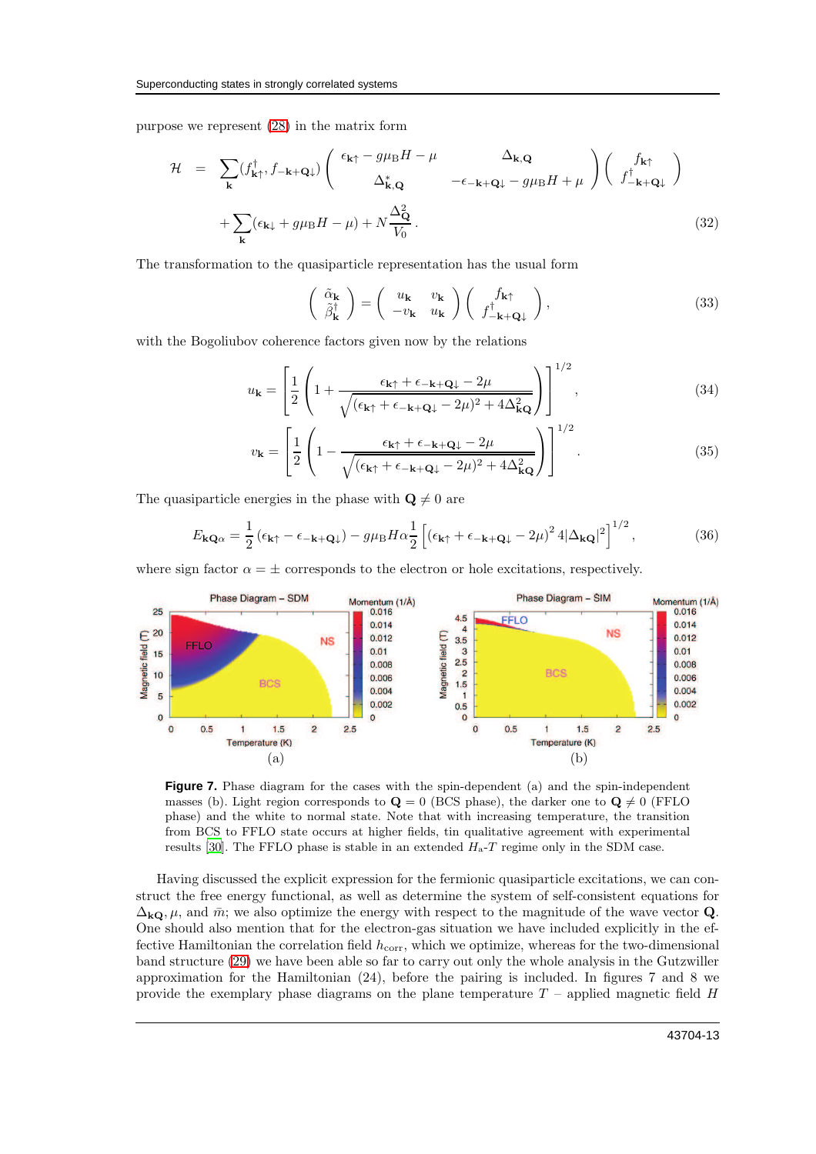purpose we represent [\(28\)](#page-11-1) in the matrix form

$$
\mathcal{H} = \sum_{\mathbf{k}} (f_{\mathbf{k}\uparrow}^{\dagger}, f_{-\mathbf{k}+\mathbf{Q}\downarrow}) \begin{pmatrix} \epsilon_{\mathbf{k}\uparrow} - g\mu_{\text{B}}H - \mu & \Delta_{\mathbf{k},\mathbf{Q}} \\ \Delta_{\mathbf{k},\mathbf{Q}}^* & -\epsilon_{-\mathbf{k}+\mathbf{Q}\downarrow} - g\mu_{\text{B}}H + \mu \end{pmatrix} \begin{pmatrix} f_{\mathbf{k}\uparrow} \\ f_{-\mathbf{k}+\mathbf{Q}\downarrow}^{\dagger} \end{pmatrix} + \sum_{\mathbf{k}} (\epsilon_{\mathbf{k}\downarrow} + g\mu_{\text{B}}H - \mu) + N \frac{\Delta_{\mathbf{Q}}^2}{V_0}.
$$
\n(32)

The transformation to the quasiparticle representation has the usual form

$$
\begin{pmatrix}\n\tilde{\alpha}_{\mathbf{k}} \\
\tilde{\beta}_{\mathbf{k}}^{\dagger}\n\end{pmatrix} = \begin{pmatrix}\nu_{\mathbf{k}} & \nu_{\mathbf{k}} \\
-v_{\mathbf{k}} & u_{\mathbf{k}}\n\end{pmatrix} \begin{pmatrix}\nf_{\mathbf{k}\uparrow} \\
f_{-\mathbf{k}+\mathbf{Q}\downarrow}^{\dagger}\n\end{pmatrix},
$$
\n(33)

with the Bogoliubov coherence factors given now by the relations

$$
u_{\mathbf{k}} = \left[\frac{1}{2}\left(1 + \frac{\epsilon_{\mathbf{k}\uparrow} + \epsilon_{-\mathbf{k}+\mathbf{Q}\downarrow} - 2\mu}{\sqrt{(\epsilon_{\mathbf{k}\uparrow} + \epsilon_{-\mathbf{k}+\mathbf{Q}\downarrow} - 2\mu)^2 + 4\Delta_{\mathbf{k}\mathbf{Q}}^2}}\right)\right]^{1/2},\tag{34}
$$

$$
v_{\mathbf{k}} = \left[\frac{1}{2}\left(1 - \frac{\epsilon_{\mathbf{k}\uparrow} + \epsilon_{-\mathbf{k}+\mathbf{Q}\downarrow} - 2\mu}{\sqrt{(\epsilon_{\mathbf{k}\uparrow} + \epsilon_{-\mathbf{k}+\mathbf{Q}\downarrow} - 2\mu)^2 + 4\Delta_{\mathbf{k}\mathbf{Q}}^2}}\right)\right]^{1/2}.\tag{35}
$$

The quasiparticle energies in the phase with  $\mathbf{Q} \neq 0$  are

$$
E_{\mathbf{kQ}\alpha} = \frac{1}{2} \left( \epsilon_{\mathbf{k}\uparrow} - \epsilon_{-\mathbf{k}+\mathbf{Q}\downarrow} \right) - g\mu_{\mathrm{B}} H \alpha \frac{1}{2} \left[ \left( \epsilon_{\mathbf{k}\uparrow} + \epsilon_{-\mathbf{k}+\mathbf{Q}\downarrow} - 2\mu \right)^2 4|\Delta_{\mathbf{kQ}}|^2 \right]^{1/2},\tag{36}
$$

where sign factor  $\alpha = \pm$  corresponds to the electron or hole excitations, respectively.



**Figure 7.** Phase diagram for the cases with the spin-dependent (a) and the spin-independent masses (b). Light region corresponds to  $\mathbf{Q} = 0$  (BCS phase), the darker one to  $\mathbf{Q} \neq 0$  (FFLO phase) and the white to normal state. Note that with increasing temperature, the transition from BCS to FFLO state occurs at higher fields, tin qualitative agreement with experimental results [\[30](#page-15-1)]. The FFLO phase is stable in an extended  $H_a-T$  regime only in the SDM case.

Having discussed the explicit expression for the fermionic quasiparticle excitations, we can construct the free energy functional, as well as determine the system of self-consistent equations for  $\Delta_{k\Omega}$ ,  $\mu$ , and  $\bar{m}$ ; we also optimize the energy with respect to the magnitude of the wave vector Q. One should also mention that for the electron-gas situation we have included explicitly in the effective Hamiltonian the correlation field  $h_{\text{corr}}$ , which we optimize, whereas for the two-dimensional band structure [\(29\)](#page-11-2) we have been able so far to carry out only the whole analysis in the Gutzwiller approximation for the Hamiltonian (24), before the pairing is included. In figures 7 and 8 we provide the exemplary phase diagrams on the plane temperature  $T$  – applied magnetic field  $H$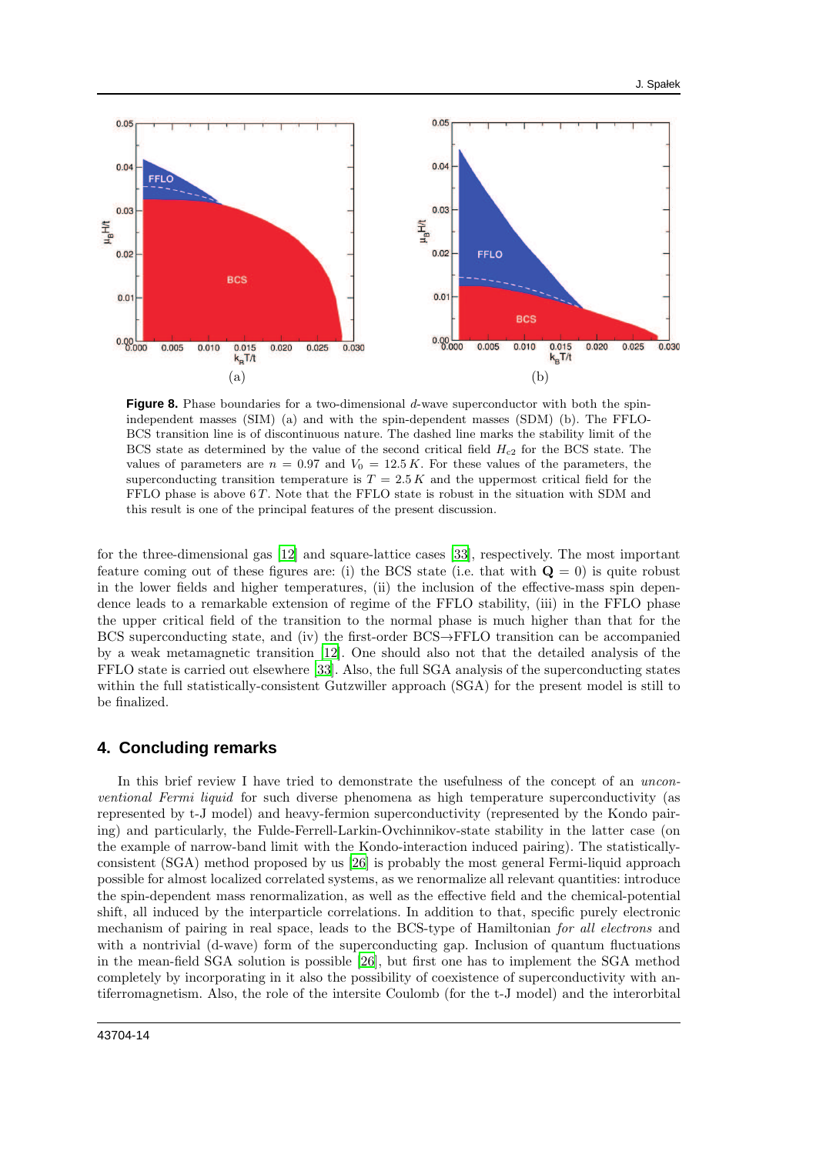

**Figure 8.** Phase boundaries for a two-dimensional d-wave superconductor with both the spinindependent masses (SIM) (a) and with the spin-dependent masses (SDM) (b). The FFLO-BCS transition line is of discontinuous nature. The dashed line marks the stability limit of the BCS state as determined by the value of the second critical field  $H_{c2}$  for the BCS state. The values of parameters are  $n = 0.97$  and  $V_0 = 12.5 K$ . For these values of the parameters, the superconducting transition temperature is  $T = 2.5 K$  and the uppermost critical field for the FFLO phase is above  $6T$ . Note that the FFLO state is robust in the situation with SDM and this result is one of the principal features of the present discussion.

for the three-dimensional gas [\[12\]](#page-14-9) and square-lattice cases [\[33](#page-15-4)], respectively. The most important feature coming out of these figures are: (i) the BCS state (i.e. that with  $\mathbf{Q} = 0$ ) is quite robust in the lower fields and higher temperatures, (ii) the inclusion of the effective-mass spin dependence leads to a remarkable extension of regime of the FFLO stability, (iii) in the FFLO phase the upper critical field of the transition to the normal phase is much higher than that for the BCS superconducting state, and (iv) the first-order BCS→FFLO transition can be accompanied by a weak metamagnetic transition [\[12](#page-14-9)]. One should also not that the detailed analysis of the FFLO state is carried out elsewhere [\[33](#page-15-4)]. Also, the full SGA analysis of the superconducting states within the full statistically-consistent Gutzwiller approach (SGA) for the present model is still to be finalized.

## **4. Concluding remarks**

In this brief review I have tried to demonstrate the usefulness of the concept of an unconventional Fermi liquid for such diverse phenomena as high temperature superconductivity (as represented by t-J model) and heavy-fermion superconductivity (represented by the Kondo pairing) and particularly, the Fulde-Ferrell-Larkin-Ovchinnikov-state stability in the latter case (on the example of narrow-band limit with the Kondo-interaction induced pairing). The statisticallyconsistent (SGA) method proposed by us [\[26\]](#page-14-22) is probably the most general Fermi-liquid approach possible for almost localized correlated systems, as we renormalize all relevant quantities: introduce the spin-dependent mass renormalization, as well as the effective field and the chemical-potential shift, all induced by the interparticle correlations. In addition to that, specific purely electronic mechanism of pairing in real space, leads to the BCS-type of Hamiltonian for all electrons and with a nontrivial (d-wave) form of the superconducting gap. Inclusion of quantum fluctuations in the mean-field SGA solution is possible [\[26\]](#page-14-22), but first one has to implement the SGA method completely by incorporating in it also the possibility of coexistence of superconductivity with antiferromagnetism. Also, the role of the intersite Coulomb (for the t-J model) and the interorbital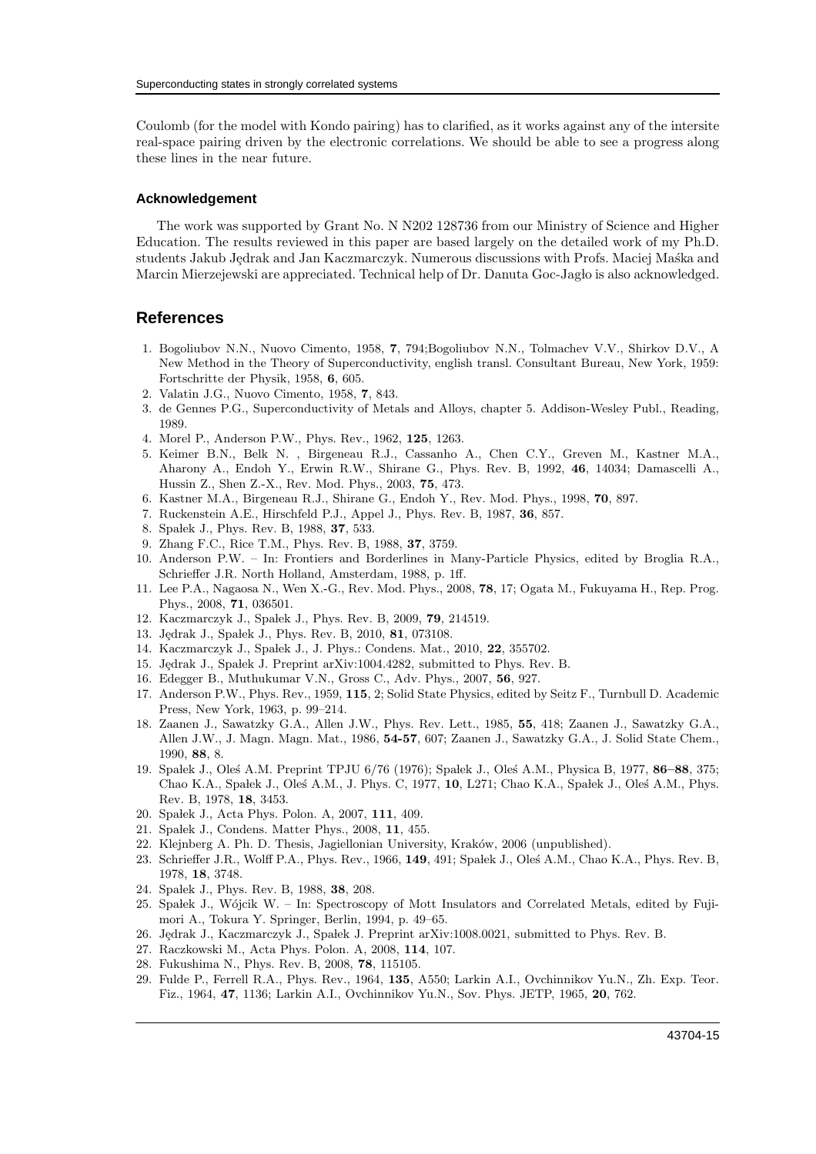Coulomb (for the model with Kondo pairing) has to clarified, as it works against any of the intersite real-space pairing driven by the electronic correlations. We should be able to see a progress along these lines in the near future.

#### **Acknowledgement**

The work was supported by Grant No. N N202 128736 from our Ministry of Science and Higher Education. The results reviewed in this paper are based largely on the detailed work of my Ph.D. students Jakub Jędrak and Jan Kaczmarczyk. Numerous discussions with Profs. Maciej Maska and Marcin Mierzejewski are appreciated. Technical help of Dr. Danuta Goc-Jaglo is also acknowledged.

## **References**

- <span id="page-14-0"></span>1. Bogoliubov N.N., Nuovo Cimento, 1958, 7, 794;Bogoliubov N.N., Tolmachev V.V., Shirkov D.V., A New Method in the Theory of Superconductivity, english transl. Consultant Bureau, New York, 1959: Fortschritte der Physik, 1958, 6, 605.
- <span id="page-14-1"></span>2. Valatin J.G., Nuovo Cimento, 1958, 7, 843.
- <span id="page-14-2"></span>3. de Gennes P.G., Superconductivity of Metals and Alloys, chapter 5. Addison-Wesley Publ., Reading, 1989.
- <span id="page-14-3"></span>4. Morel P., Anderson P.W., Phys. Rev., 1962, 125, 1263.
- <span id="page-14-4"></span>5. Keimer B.N., Belk N. , Birgeneau R.J., Cassanho A., Chen C.Y., Greven M., Kastner M.A., Aharony A., Endoh Y., Erwin R.W., Shirane G., Phys. Rev. B, 1992, 46, 14034; Damascelli A., Hussin Z., Shen Z.-X., Rev. Mod. Phys., 2003, 75, 473.
- <span id="page-14-5"></span>6. Kastner M.A., Birgeneau R.J., Shirane G., Endoh Y., Rev. Mod. Phys., 1998, 70, 897.
- <span id="page-14-6"></span>7. Ruckenstein A.E., Hirschfeld P.J., Appel J., Phys. Rev. B, 1987, 36, 857.
- <span id="page-14-17"></span>8. Spałek J., Phys. Rev. B, 1988, 37, 533.
- 9. Zhang F.C., Rice T.M., Phys. Rev. B, 1988, 37, 3759.
- <span id="page-14-7"></span>10. Anderson P.W. – In: Frontiers and Borderlines in Many-Particle Physics, edited by Broglia R.A., Schrieffer J.R. North Holland, Amsterdam, 1988, p. 1ff.
- <span id="page-14-8"></span>11. Lee P.A., Nagaosa N., Wen X.-G., Rev. Mod. Phys., 2008, 78, 17; Ogata M., Fukuyama H., Rep. Prog. Phys., 2008, 71, 036501.
- <span id="page-14-9"></span>12. Kaczmarczyk J., Spałek J., Phys. Rev. B, 2009, 79, 214519.
- <span id="page-14-23"></span>13. Jędrak J., Spałek J., Phys. Rev. B, 2010, 81, 073108.
- <span id="page-14-27"></span>14. Kaczmarczyk J., Spałek J., J. Phys.: Condens. Mat., 2010, 22, 355702.
- <span id="page-14-10"></span>15. Jędrak J., Spałek J. Preprint arXiv:1004.4282, submitted to Phys. Rev. B.
- <span id="page-14-11"></span>16. Edegger B., Muthukumar V.N., Gross C., Adv. Phys., 2007, 56, 927.
- <span id="page-14-12"></span>17. Anderson P.W., Phys. Rev., 1959, 115, 2; Solid State Physics, edited by Seitz F., Turnbull D. Academic Press, New York, 1963, p. 99–214.
- <span id="page-14-13"></span>18. Zaanen J., Sawatzky G.A., Allen J.W., Phys. Rev. Lett., 1985, 55, 418; Zaanen J., Sawatzky G.A., Allen J.W., J. Magn. Magn. Mat., 1986, 54-57, 607; Zaanen J., Sawatzky G.A., J. Solid State Chem., 1990, 88, 8.
- <span id="page-14-14"></span>19. Spalek J., Oles A.M. Preprint TPJU 6/76 (1976); Spalek J., Oles A.M., Physica B, 1977, 86–88, 375; Chao K.A., Spałek J., Oleś A.M., J. Phys. C, 1977, 10, L271; Chao K.A., Spałek J., Oleś A.M., Phys. Rev. B, 1978, 18, 3453.
- <span id="page-14-15"></span>20. Spałek J., Acta Phys. Polon. A, 2007, 111, 409.
- <span id="page-14-16"></span>21. Spałek J., Condens. Matter Phys., 2008, 11, 455.
- <span id="page-14-18"></span>22. Klejnberg A. Ph. D. Thesis, Jagiellonian University, Kraków, 2006 (unpublished).
- <span id="page-14-19"></span>23. Schrieffer J.R., Wolff P.A., Phys. Rev., 1966, 149, 491; Spalek J., Oleś A.M., Chao K.A., Phys. Rev. B, 1978, 18, 3748.
- <span id="page-14-20"></span>24. Spałek J., Phys. Rev. B, 1988, 38, 208.
- <span id="page-14-21"></span>25. Spałek J., Wójcik W. – In: Spectroscopy of Mott Insulators and Correlated Metals, edited by Fujimori A., Tokura Y. Springer, Berlin, 1994, p. 49–65.
- <span id="page-14-22"></span>26. Jedrak J., Kaczmarczyk J., Spałek J. Preprint arXiv:1008.0021, submitted to Phys. Rev. B.
- <span id="page-14-24"></span>27. Raczkowski M., Acta Phys. Polon. A, 2008, 114, 107.
- <span id="page-14-25"></span>28. Fukushima N., Phys. Rev. B, 2008, 78, 115105.
- <span id="page-14-26"></span>29. Fulde P., Ferrell R.A., Phys. Rev., 1964, 135, A550; Larkin A.I., Ovchinnikov Yu.N., Zh. Exp. Teor. Fiz., 1964, 47, 1136; Larkin A.I., Ovchinnikov Yu.N., Sov. Phys. JETP, 1965, 20, 762.